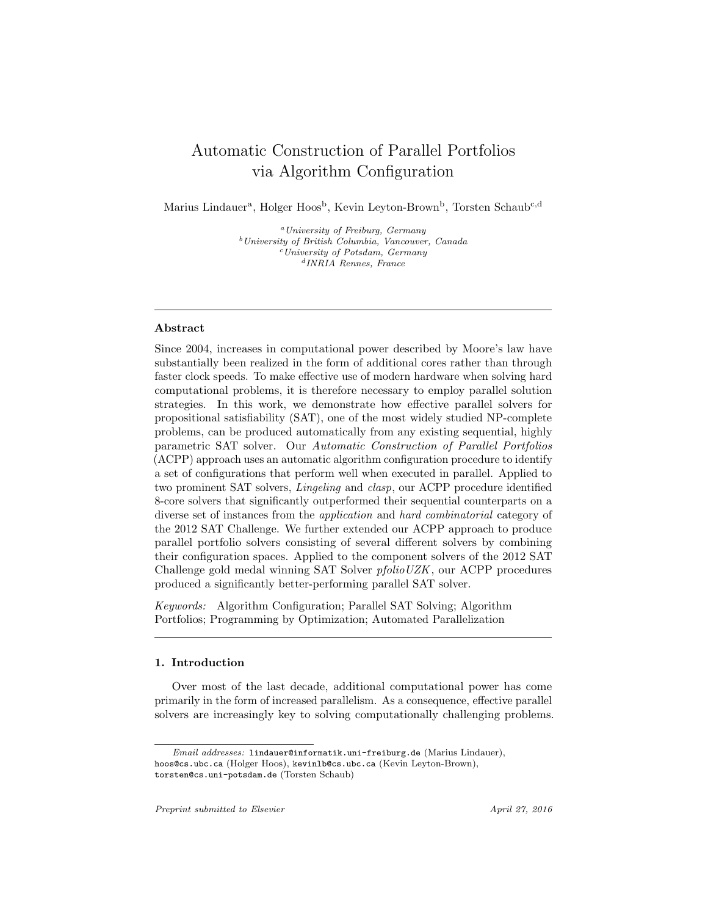# Automatic Construction of Parallel Portfolios via Algorithm Configuration

Marius Lindauer<sup>a</sup>, Holger Hoos<sup>b</sup>, Kevin Leyton-Brown<sup>b</sup>, Torsten Schaub<sup>c,d</sup>

<sup>a</sup>University of Freiburg, Germany <sup>b</sup>University of British Columbia, Vancouver, Canada  $c$ University of Potsdam, Germany d INRIA Rennes, France

# Abstract

Since 2004, increases in computational power described by Moore's law have substantially been realized in the form of additional cores rather than through faster clock speeds. To make effective use of modern hardware when solving hard computational problems, it is therefore necessary to employ parallel solution strategies. In this work, we demonstrate how effective parallel solvers for propositional satisfiability (SAT), one of the most widely studied NP-complete problems, can be produced automatically from any existing sequential, highly parametric SAT solver. Our Automatic Construction of Parallel Portfolios (ACPP) approach uses an automatic algorithm configuration procedure to identify a set of configurations that perform well when executed in parallel. Applied to two prominent SAT solvers, Lingeling and clasp, our ACPP procedure identified 8-core solvers that significantly outperformed their sequential counterparts on a diverse set of instances from the *application* and *hard combinatorial* category of the 2012 SAT Challenge. We further extended our ACPP approach to produce parallel portfolio solvers consisting of several different solvers by combining their configuration spaces. Applied to the component solvers of the 2012 SAT Challenge gold medal winning SAT Solver  $pfolio UZK$ , our ACPP procedures produced a significantly better-performing parallel SAT solver.

Keywords: Algorithm Configuration; Parallel SAT Solving; Algorithm Portfolios; Programming by Optimization; Automated Parallelization

## 1. Introduction

Over most of the last decade, additional computational power has come primarily in the form of increased parallelism. As a consequence, effective parallel solvers are increasingly key to solving computationally challenging problems.

Email addresses: lindauer@informatik.uni-freiburg.de (Marius Lindauer), hoos@cs.ubc.ca (Holger Hoos), kevinlb@cs.ubc.ca (Kevin Leyton-Brown), torsten@cs.uni-potsdam.de (Torsten Schaub)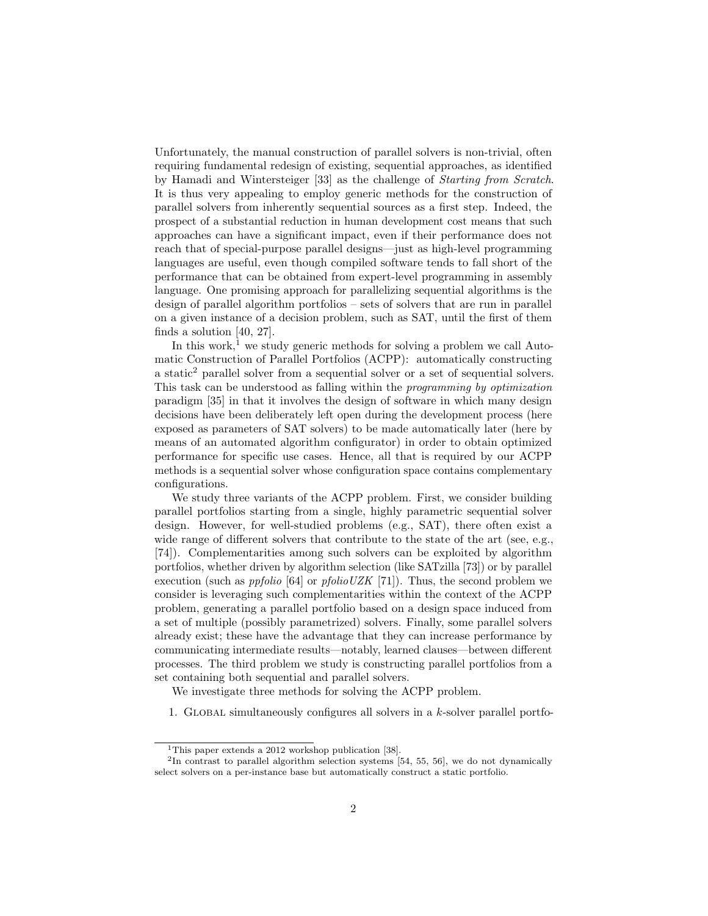Unfortunately, the manual construction of parallel solvers is non-trivial, often requiring fundamental redesign of existing, sequential approaches, as identified by Hamadi and Wintersteiger [33] as the challenge of Starting from Scratch. It is thus very appealing to employ generic methods for the construction of parallel solvers from inherently sequential sources as a first step. Indeed, the prospect of a substantial reduction in human development cost means that such approaches can have a significant impact, even if their performance does not reach that of special-purpose parallel designs—just as high-level programming languages are useful, even though compiled software tends to fall short of the performance that can be obtained from expert-level programming in assembly language. One promising approach for parallelizing sequential algorithms is the design of parallel algorithm portfolios – sets of solvers that are run in parallel on a given instance of a decision problem, such as SAT, until the first of them finds a solution [40, 27].

In this work,<sup>1</sup> we study generic methods for solving a problem we call Automatic Construction of Parallel Portfolios (ACPP): automatically constructing a static<sup>2</sup> parallel solver from a sequential solver or a set of sequential solvers. This task can be understood as falling within the programming by optimization paradigm [35] in that it involves the design of software in which many design decisions have been deliberately left open during the development process (here exposed as parameters of SAT solvers) to be made automatically later (here by means of an automated algorithm configurator) in order to obtain optimized performance for specific use cases. Hence, all that is required by our ACPP methods is a sequential solver whose configuration space contains complementary configurations.

We study three variants of the ACPP problem. First, we consider building parallel portfolios starting from a single, highly parametric sequential solver design. However, for well-studied problems (e.g., SAT), there often exist a wide range of different solvers that contribute to the state of the art (see, e.g., [74]). Complementarities among such solvers can be exploited by algorithm portfolios, whether driven by algorithm selection (like SATzilla [73]) or by parallel execution (such as *ppfolio* [64] or *pfolioUZK* [71]). Thus, the second problem we consider is leveraging such complementarities within the context of the ACPP problem, generating a parallel portfolio based on a design space induced from a set of multiple (possibly parametrized) solvers. Finally, some parallel solvers already exist; these have the advantage that they can increase performance by communicating intermediate results—notably, learned clauses—between different processes. The third problem we study is constructing parallel portfolios from a set containing both sequential and parallel solvers.

We investigate three methods for solving the ACPP problem.

1. GLOBAL simultaneously configures all solvers in a  $k$ -solver parallel portfo-

<sup>&</sup>lt;sup>1</sup>This paper extends a 2012 workshop publication [38].

 ${}^{2}$ In contrast to parallel algorithm selection systems [54, 55, 56], we do not dynamically select solvers on a per-instance base but automatically construct a static portfolio.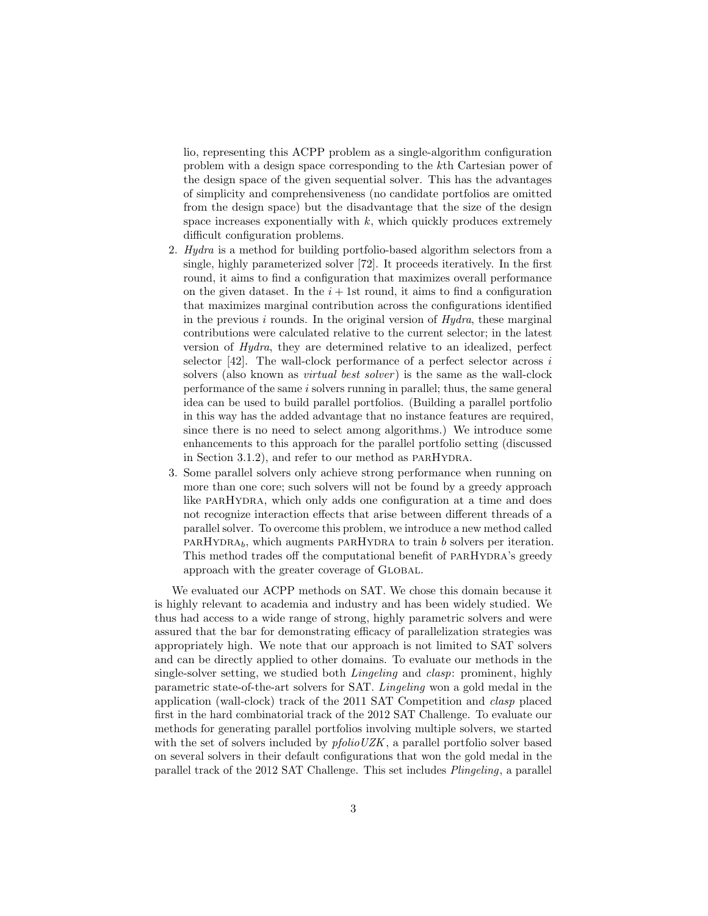lio, representing this ACPP problem as a single-algorithm configuration problem with a design space corresponding to the kth Cartesian power of the design space of the given sequential solver. This has the advantages of simplicity and comprehensiveness (no candidate portfolios are omitted from the design space) but the disadvantage that the size of the design space increases exponentially with  $k$ , which quickly produces extremely difficult configuration problems.

- 2. Hydra is a method for building portfolio-based algorithm selectors from a single, highly parameterized solver [72]. It proceeds iteratively. In the first round, it aims to find a configuration that maximizes overall performance on the given dataset. In the  $i + 1$ st round, it aims to find a configuration that maximizes marginal contribution across the configurations identified in the previous i rounds. In the original version of  $Hydra$ , these marginal contributions were calculated relative to the current selector; in the latest version of Hydra, they are determined relative to an idealized, perfect selector  $[42]$ . The wall-clock performance of a perfect selector across i solvers (also known as *virtual best solver*) is the same as the wall-clock performance of the same  $i$  solvers running in parallel; thus, the same general idea can be used to build parallel portfolios. (Building a parallel portfolio in this way has the added advantage that no instance features are required, since there is no need to select among algorithms.) We introduce some enhancements to this approach for the parallel portfolio setting (discussed in Section  $3.1.2$ ), and refer to our method as PARHYDRA.
- 3. Some parallel solvers only achieve strong performance when running on more than one core; such solvers will not be found by a greedy approach like PARHYDRA, which only adds one configuration at a time and does not recognize interaction effects that arise between different threads of a parallel solver. To overcome this problem, we introduce a new method called  $PARHYDRA<sub>b</sub>$ , which augments PARHYDRA to train b solvers per iteration. This method trades off the computational benefit of PARHYDRA's greedy approach with the greater coverage of Global.

We evaluated our ACPP methods on SAT. We chose this domain because it is highly relevant to academia and industry and has been widely studied. We thus had access to a wide range of strong, highly parametric solvers and were assured that the bar for demonstrating efficacy of parallelization strategies was appropriately high. We note that our approach is not limited to SAT solvers and can be directly applied to other domains. To evaluate our methods in the single-solver setting, we studied both *Lingeling* and *clasp*: prominent, highly parametric state-of-the-art solvers for SAT. Lingeling won a gold medal in the application (wall-clock) track of the 2011 SAT Competition and clasp placed first in the hard combinatorial track of the 2012 SAT Challenge. To evaluate our methods for generating parallel portfolios involving multiple solvers, we started with the set of solvers included by  $pfolio UZK$ , a parallel portfolio solver based on several solvers in their default configurations that won the gold medal in the parallel track of the 2012 SAT Challenge. This set includes Plingeling, a parallel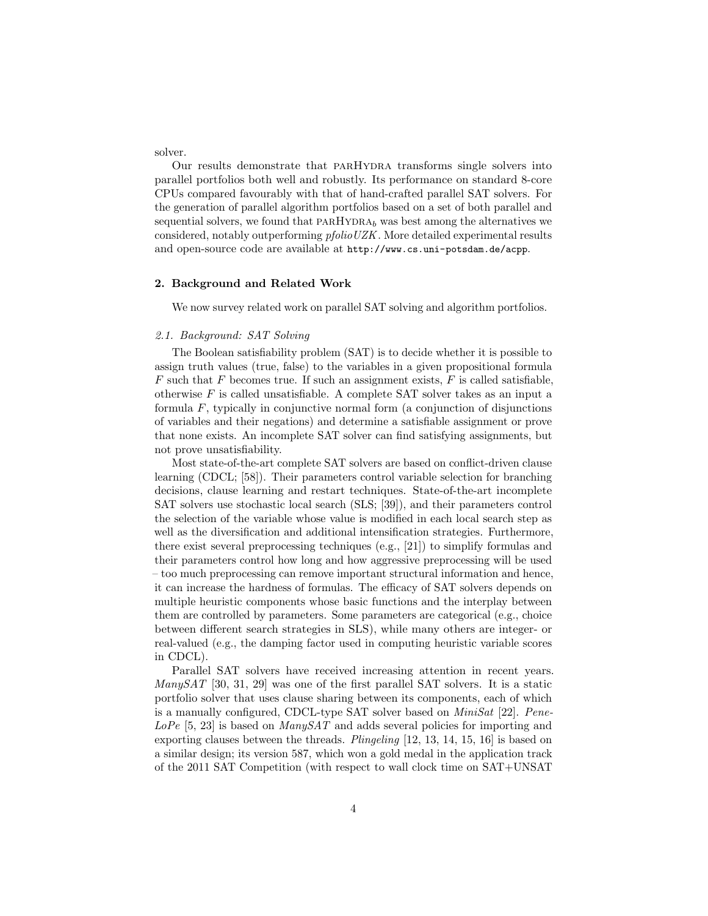solver.

Our results demonstrate that parHydra transforms single solvers into parallel portfolios both well and robustly. Its performance on standard 8-core CPUs compared favourably with that of hand-crafted parallel SAT solvers. For the generation of parallel algorithm portfolios based on a set of both parallel and sequential solvers, we found that  $PARHYDRA<sub>b</sub>$  was best among the alternatives we considered, notably outperforming *pfolioUZK*. More detailed experimental results and open-source code are available at http://www.cs.uni-potsdam.de/acpp.

#### 2. Background and Related Work

We now survey related work on parallel SAT solving and algorithm portfolios.

## 2.1. Background: SAT Solving

The Boolean satisfiability problem (SAT) is to decide whether it is possible to assign truth values (true, false) to the variables in a given propositional formula  $F$  such that  $F$  becomes true. If such an assignment exists,  $F$  is called satisfiable, otherwise  $F$  is called unsatisfiable. A complete SAT solver takes as an input a formula  $F$ , typically in conjunctive normal form (a conjunction of disjunctions of variables and their negations) and determine a satisfiable assignment or prove that none exists. An incomplete SAT solver can find satisfying assignments, but not prove unsatisfiability.

Most state-of-the-art complete SAT solvers are based on conflict-driven clause learning (CDCL; [58]). Their parameters control variable selection for branching decisions, clause learning and restart techniques. State-of-the-art incomplete SAT solvers use stochastic local search (SLS; [39]), and their parameters control the selection of the variable whose value is modified in each local search step as well as the diversification and additional intensification strategies. Furthermore, there exist several preprocessing techniques (e.g., [21]) to simplify formulas and their parameters control how long and how aggressive preprocessing will be used – too much preprocessing can remove important structural information and hence, it can increase the hardness of formulas. The efficacy of SAT solvers depends on multiple heuristic components whose basic functions and the interplay between them are controlled by parameters. Some parameters are categorical (e.g., choice between different search strategies in SLS), while many others are integer- or real-valued (e.g., the damping factor used in computing heuristic variable scores in CDCL).

Parallel SAT solvers have received increasing attention in recent years. *ManySAT* [30, 31, 29] was one of the first parallel SAT solvers. It is a static portfolio solver that uses clause sharing between its components, each of which is a manually configured, CDCL-type SAT solver based on MiniSat [22]. Pene- $LoPe$  [5, 23] is based on *ManySAT* and adds several policies for importing and exporting clauses between the threads. Plingeling [12, 13, 14, 15, 16] is based on a similar design; its version 587, which won a gold medal in the application track of the 2011 SAT Competition (with respect to wall clock time on SAT+UNSAT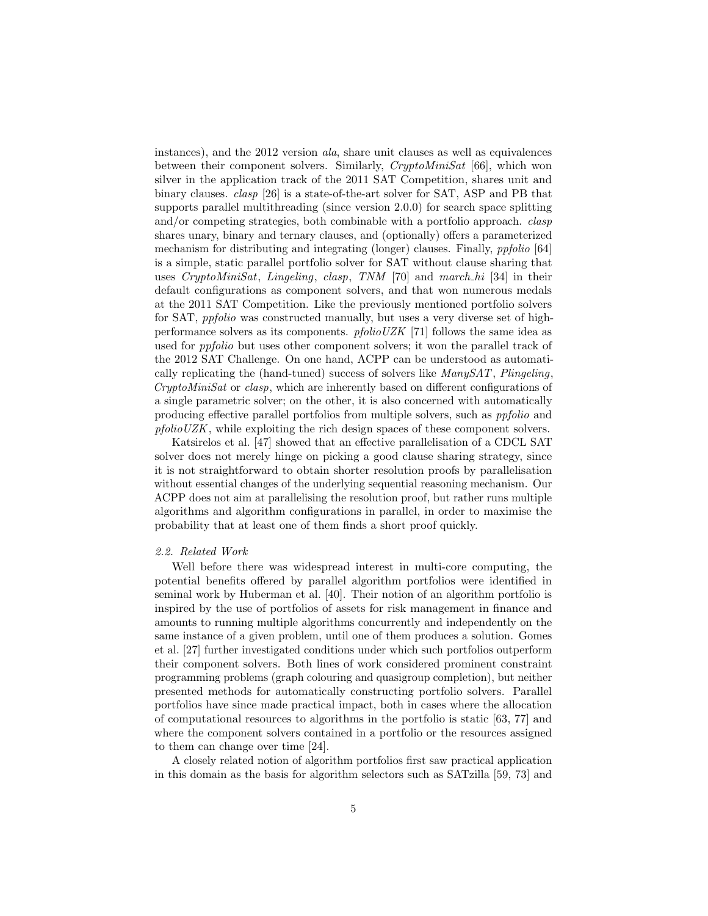instances), and the 2012 version ala, share unit clauses as well as equivalences between their component solvers. Similarly, CryptoMiniSat [66], which won silver in the application track of the 2011 SAT Competition, shares unit and binary clauses. clasp [26] is a state-of-the-art solver for SAT, ASP and PB that supports parallel multithreading (since version 2.0.0) for search space splitting and/or competing strategies, both combinable with a portfolio approach. *clasp* shares unary, binary and ternary clauses, and (optionally) offers a parameterized mechanism for distributing and integrating (longer) clauses. Finally, ppfolio [64] is a simple, static parallel portfolio solver for SAT without clause sharing that uses CryptoMiniSat, Lingeling, clasp, TNM [70] and march\_hi [34] in their default configurations as component solvers, and that won numerous medals at the 2011 SAT Competition. Like the previously mentioned portfolio solvers for SAT, ppfolio was constructed manually, but uses a very diverse set of highperformance solvers as its components. *pfolioUZK* [71] follows the same idea as used for *ppfolio* but uses other component solvers; it won the parallel track of the 2012 SAT Challenge. On one hand, ACPP can be understood as automatically replicating the (hand-tuned) success of solvers like ManySAT, Plingeling, CryptoMiniSat or clasp, which are inherently based on different configurations of a single parametric solver; on the other, it is also concerned with automatically producing effective parallel portfolios from multiple solvers, such as ppfolio and pfolioUZK, while exploiting the rich design spaces of these component solvers.

Katsirelos et al. [47] showed that an effective parallelisation of a CDCL SAT solver does not merely hinge on picking a good clause sharing strategy, since it is not straightforward to obtain shorter resolution proofs by parallelisation without essential changes of the underlying sequential reasoning mechanism. Our ACPP does not aim at parallelising the resolution proof, but rather runs multiple algorithms and algorithm configurations in parallel, in order to maximise the probability that at least one of them finds a short proof quickly.

#### 2.2. Related Work

Well before there was widespread interest in multi-core computing, the potential benefits offered by parallel algorithm portfolios were identified in seminal work by Huberman et al. [40]. Their notion of an algorithm portfolio is inspired by the use of portfolios of assets for risk management in finance and amounts to running multiple algorithms concurrently and independently on the same instance of a given problem, until one of them produces a solution. Gomes et al. [27] further investigated conditions under which such portfolios outperform their component solvers. Both lines of work considered prominent constraint programming problems (graph colouring and quasigroup completion), but neither presented methods for automatically constructing portfolio solvers. Parallel portfolios have since made practical impact, both in cases where the allocation of computational resources to algorithms in the portfolio is static [63, 77] and where the component solvers contained in a portfolio or the resources assigned to them can change over time [24].

A closely related notion of algorithm portfolios first saw practical application in this domain as the basis for algorithm selectors such as SATzilla [59, 73] and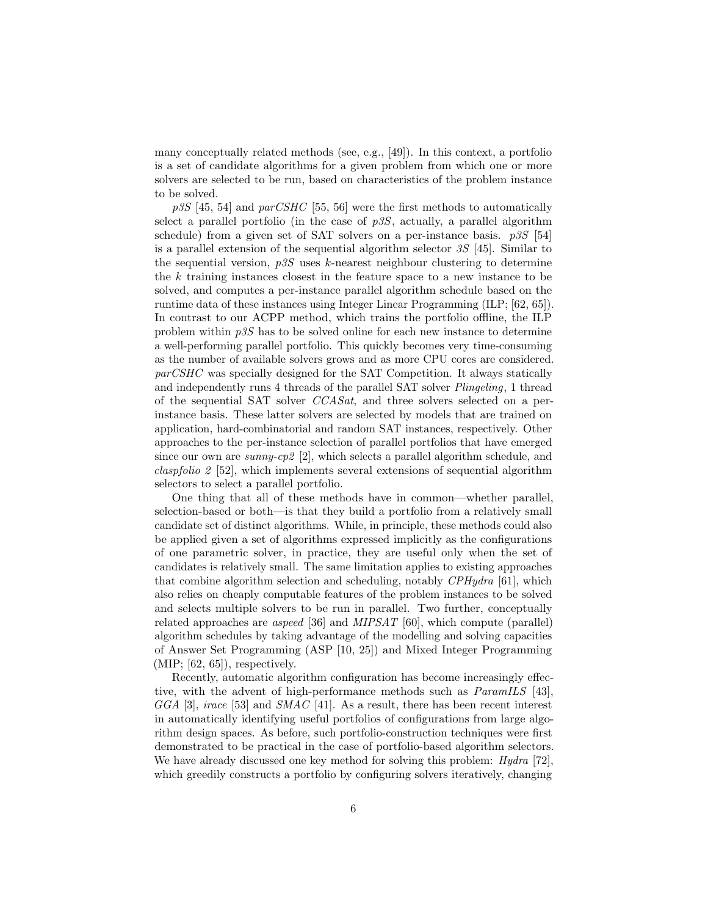many conceptually related methods (see, e.g., [49]). In this context, a portfolio is a set of candidate algorithms for a given problem from which one or more solvers are selected to be run, based on characteristics of the problem instance to be solved.

 $p3S$  [45, 54] and parCSHC [55, 56] were the first methods to automatically select a parallel portfolio (in the case of  $p3S$ , actually, a parallel algorithm schedule) from a given set of SAT solvers on a per-instance basis.  $p3S$  [54] is a parallel extension of the sequential algorithm selector  $3S$  [45]. Similar to the sequential version,  $p3S$  uses k-nearest neighbour clustering to determine the k training instances closest in the feature space to a new instance to be solved, and computes a per-instance parallel algorithm schedule based on the runtime data of these instances using Integer Linear Programming (ILP; [62, 65]). In contrast to our ACPP method, which trains the portfolio offline, the ILP problem within  $p3S$  has to be solved online for each new instance to determine a well-performing parallel portfolio. This quickly becomes very time-consuming as the number of available solvers grows and as more CPU cores are considered. parCSHC was specially designed for the SAT Competition. It always statically and independently runs 4 threads of the parallel SAT solver Plingeling, 1 thread of the sequential SAT solver CCASat, and three solvers selected on a perinstance basis. These latter solvers are selected by models that are trained on application, hard-combinatorial and random SAT instances, respectively. Other approaches to the per-instance selection of parallel portfolios that have emerged since our own are sunny-cp2 [2], which selects a parallel algorithm schedule, and claspfolio 2 [52], which implements several extensions of sequential algorithm selectors to select a parallel portfolio.

One thing that all of these methods have in common—whether parallel, selection-based or both—is that they build a portfolio from a relatively small candidate set of distinct algorithms. While, in principle, these methods could also be applied given a set of algorithms expressed implicitly as the configurations of one parametric solver, in practice, they are useful only when the set of candidates is relatively small. The same limitation applies to existing approaches that combine algorithm selection and scheduling, notably CPHydra [61], which also relies on cheaply computable features of the problem instances to be solved and selects multiple solvers to be run in parallel. Two further, conceptually related approaches are aspeed [36] and MIPSAT [60], which compute (parallel) algorithm schedules by taking advantage of the modelling and solving capacities of Answer Set Programming (ASP [10, 25]) and Mixed Integer Programming (MIP; [62, 65]), respectively.

Recently, automatic algorithm configuration has become increasingly effective, with the advent of high-performance methods such as ParamILS [43], GGA [3], *irace* [53] and *SMAC* [41]. As a result, there has been recent interest in automatically identifying useful portfolios of configurations from large algorithm design spaces. As before, such portfolio-construction techniques were first demonstrated to be practical in the case of portfolio-based algorithm selectors. We have already discussed one key method for solving this problem: *Hydra* [72], which greedily constructs a portfolio by configuring solvers iteratively, changing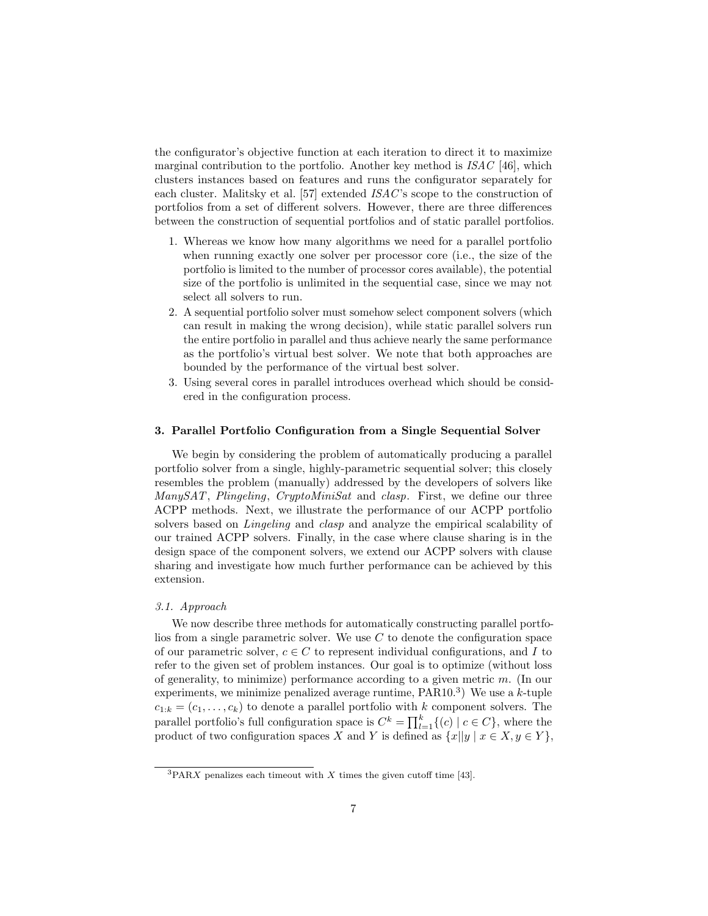the configurator's objective function at each iteration to direct it to maximize marginal contribution to the portfolio. Another key method is ISAC [46], which clusters instances based on features and runs the configurator separately for each cluster. Malitsky et al. [57] extended ISAC 's scope to the construction of portfolios from a set of different solvers. However, there are three differences between the construction of sequential portfolios and of static parallel portfolios.

- 1. Whereas we know how many algorithms we need for a parallel portfolio when running exactly one solver per processor core (i.e., the size of the portfolio is limited to the number of processor cores available), the potential size of the portfolio is unlimited in the sequential case, since we may not select all solvers to run.
- 2. A sequential portfolio solver must somehow select component solvers (which can result in making the wrong decision), while static parallel solvers run the entire portfolio in parallel and thus achieve nearly the same performance as the portfolio's virtual best solver. We note that both approaches are bounded by the performance of the virtual best solver.
- 3. Using several cores in parallel introduces overhead which should be considered in the configuration process.

#### 3. Parallel Portfolio Configuration from a Single Sequential Solver

We begin by considering the problem of automatically producing a parallel portfolio solver from a single, highly-parametric sequential solver; this closely resembles the problem (manually) addressed by the developers of solvers like ManySAT, Plingeling, CryptoMiniSat and clasp. First, we define our three ACPP methods. Next, we illustrate the performance of our ACPP portfolio solvers based on *Lingeling* and *clasp* and analyze the empirical scalability of our trained ACPP solvers. Finally, in the case where clause sharing is in the design space of the component solvers, we extend our ACPP solvers with clause sharing and investigate how much further performance can be achieved by this extension.

#### 3.1. Approach

We now describe three methods for automatically constructing parallel portfolios from a single parametric solver. We use  $C$  to denote the configuration space of our parametric solver,  $c \in C$  to represent individual configurations, and I to refer to the given set of problem instances. Our goal is to optimize (without loss of generality, to minimize) performance according to a given metric  $m$ . (In our experiments, we minimize penalized average runtime,  $PAR10<sup>3</sup>$ ) We use a k-tuple  $c_{1:k} = (c_1, \ldots, c_k)$  to denote a parallel portfolio with k component solvers. The parallel portfolio's full configuration space is  $C^k = \prod_{l=1}^k \{ (c) \mid c \in C \}$ , where the product of two configuration spaces X and Y is defined as  $\{x \mid |y| \ x \in X, y \in Y\}$ ,

 ${}^{3}$ PARX penalizes each timeout with X times the given cutoff time [43].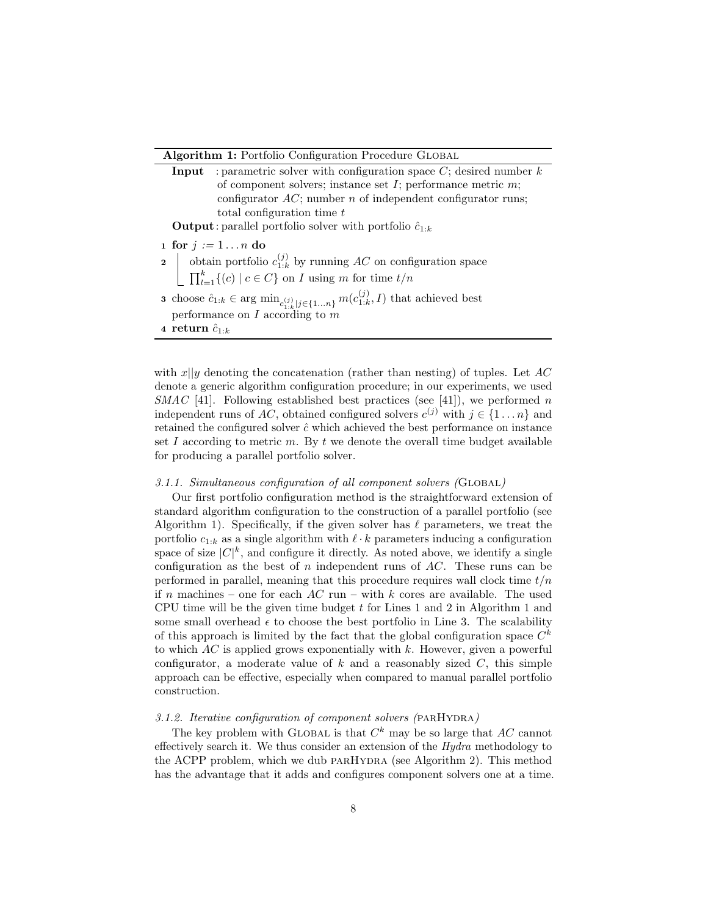Algorithm 1: Portfolio Configuration Procedure GLOBAL

**Input**: parametric solver with configuration space  $C$ ; desired number  $k$ of component solvers; instance set  $I$ ; performance metric  $m$ ; configurator  $AC$ ; number *n* of independent configurator runs; total configuration time t

**Output**: parallel portfolio solver with portfolio  $\hat{c}_{1:k}$ 

- 1 for  $j := 1 \dots n$  do
- 2 | obtain portfolio  $c_{1:k}^{(j)}$  $_{1:k}^{(j)}$  by running AC on configuration space  $\prod_{l=1}^{k} \{(c) | c \in C\}$  on I using m for time  $t/n$
- 3 choose  $\hat{c}_{1:k} \in \arg \min_{c_{1:k}^{(j)} | j \in \{1...n\}} m(c_{1:k}^{(j)})$  $\binom{[j]}{1:k}$ , I) that achieved best performance on  $I$  according to  $m$
- 4 return  $\hat{c}_{1:k}$

with  $x||y$  denoting the concatenation (rather than nesting) of tuples. Let  $AC$ denote a generic algorithm configuration procedure; in our experiments, we used  $SMAC$  [41]. Following established best practices (see [41]), we performed n independent runs of AC, obtained configured solvers  $c^{(j)}$  with  $j \in \{1 \dots n\}$  and retained the configured solver  $\hat{c}$  which achieved the best performance on instance set I according to metric m. By t we denote the overall time budget available for producing a parallel portfolio solver.

## 3.1.1. Simultaneous configuration of all component solvers (Global)

Our first portfolio configuration method is the straightforward extension of standard algorithm configuration to the construction of a parallel portfolio (see Algorithm 1). Specifically, if the given solver has  $\ell$  parameters, we treat the portfolio $c_{1:k}$  as a single algorithm with  $\ell \cdot k$  parameters inducing a configuration space of size  $|C|^k$ , and configure it directly. As noted above, we identify a single configuration as the best of  $n$  independent runs of  $AC$ . These runs can be performed in parallel, meaning that this procedure requires wall clock time  $t/n$ if n machines – one for each  $AC$  run – with k cores are available. The used CPU time will be the given time budget  $t$  for Lines 1 and 2 in Algorithm 1 and some small overhead  $\epsilon$  to choose the best portfolio in Line 3. The scalability of this approach is limited by the fact that the global configuration space  $C<sup>k</sup>$ to which  $AC$  is applied grows exponentially with  $k$ . However, given a powerful configurator, a moderate value of  $k$  and a reasonably sized  $C$ , this simple approach can be effective, especially when compared to manual parallel portfolio construction.

# 3.1.2. Iterative configuration of component solvers (PARHYDRA)

The key problem with GLOBAL is that  $C<sup>k</sup>$  may be so large that AC cannot effectively search it. We thus consider an extension of the Hydra methodology to the ACPP problem, which we dub PARHYDRA (see Algorithm 2). This method has the advantage that it adds and configures component solvers one at a time.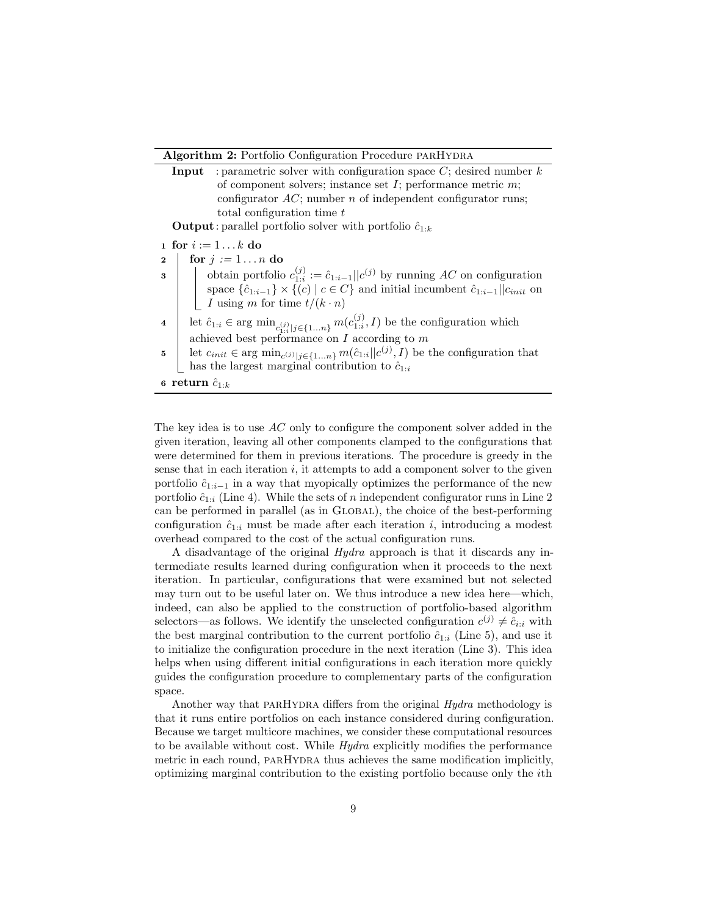Algorithm 2: Portfolio Configuration Procedure PARHYDRA

| Input                    | : parametric solver with configuration space $C$ ; desired number $k$                                                                         |
|--------------------------|-----------------------------------------------------------------------------------------------------------------------------------------------|
|                          | of component solvers; instance set $I$ ; performance metric $m$ ;                                                                             |
|                          | configurator $AC$ ; number <i>n</i> of independent configurator runs;                                                                         |
|                          | total configuration time t                                                                                                                    |
|                          | <b>Output</b> : parallel portfolio solver with portfolio $\hat{c}_{1:k}$                                                                      |
|                          | 1 for $i := 1 \dots k$ do                                                                                                                     |
|                          |                                                                                                                                               |
|                          | <b>a for</b> $j := 1n$ <b>do</b><br><b>a dotain</b> portfolio $c_{1:i}^{(j)} := \hat{c}_{1:i-1}    c^{(j)}$ by running AC on configuration    |
|                          |                                                                                                                                               |
|                          | space $\{\hat{c}_{1:i-1}\}\times\{(c)   c \in C\}$ and initial incumbent $\hat{c}_{1:i-1}  c_{init}$ on<br>I using m for time $t/(k \cdot n)$ |
|                          | 4   let $\hat{c}_{1:i} \in \arg \min_{c_{1:i}^{(j)}   j \in \{1n\}} m(c_{1:i}^{(j)}, I)$ be the configuration which                           |
|                          | achieved best performance on $I$ according to $m$                                                                                             |
|                          | 5   let $c_{init} \in \arg \min_{c^{(j)}   j \in \{1n\}} m(\hat{c}_{1:i}    c^{(j)}, I)$ be the configuration that                            |
|                          | has the largest marginal contribution to $\hat{c}_{1:i}$                                                                                      |
| 6 return $\hat{c}_{1:k}$ |                                                                                                                                               |

The key idea is to use  $AC$  only to configure the component solver added in the given iteration, leaving all other components clamped to the configurations that were determined for them in previous iterations. The procedure is greedy in the sense that in each iteration  $i$ , it attempts to add a component solver to the given portfolio  $\hat{c}_{1:i-1}$  in a way that myopically optimizes the performance of the new portfolio  $\hat{c}_{1:i}$  (Line 4). While the sets of n independent configurator runs in Line 2 can be performed in parallel (as in GLOBAL), the choice of the best-performing configuration  $\hat{c}_{1:i}$  must be made after each iteration i, introducing a modest overhead compared to the cost of the actual configuration runs.

A disadvantage of the original Hydra approach is that it discards any intermediate results learned during configuration when it proceeds to the next iteration. In particular, configurations that were examined but not selected may turn out to be useful later on. We thus introduce a new idea here—which, indeed, can also be applied to the construction of portfolio-based algorithm selectors—as follows. We identify the unselected configuration  $c^{(j)} \neq \hat{c}_{i:i}$  with the best marginal contribution to the current portfolio  $\hat{c}_{1:i}$  (Line 5), and use it to initialize the configuration procedure in the next iteration (Line 3). This idea helps when using different initial configurations in each iteration more quickly guides the configuration procedure to complementary parts of the configuration space.

Another way that PARHYDRA differs from the original Hydra methodology is that it runs entire portfolios on each instance considered during configuration. Because we target multicore machines, we consider these computational resources to be available without cost. While Hydra explicitly modifies the performance metric in each round, PARHYDRA thus achieves the same modification implicitly, optimizing marginal contribution to the existing portfolio because only the ith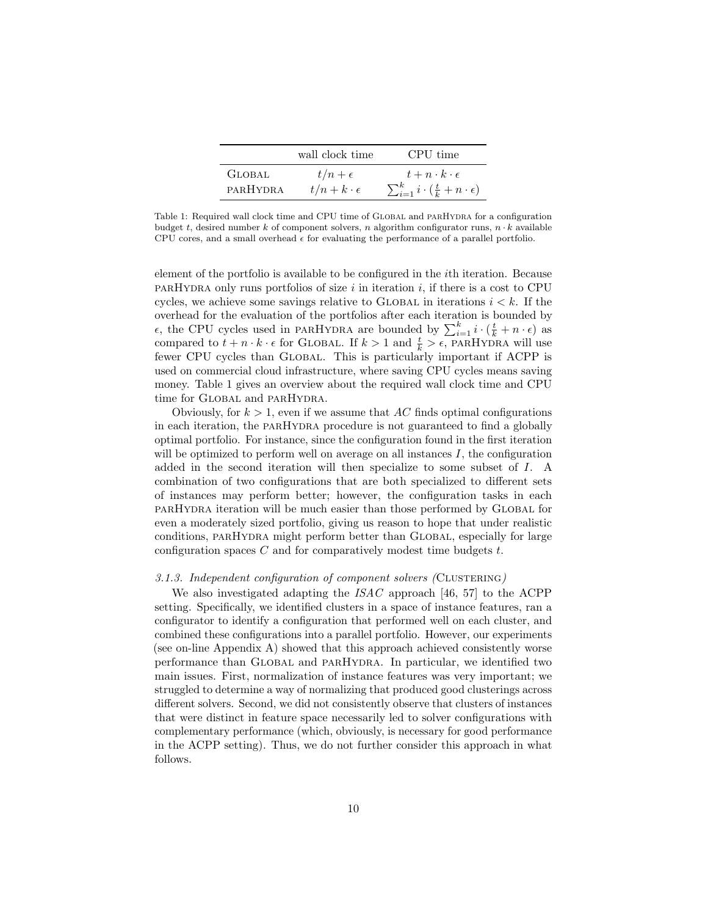|                 | wall clock time          | CPU time                                                |
|-----------------|--------------------------|---------------------------------------------------------|
| <b>GLOBAL</b>   | $t/n+\epsilon$           | $t+n\cdot k\cdot\epsilon$                               |
| <b>PARHYDRA</b> | $t/n + k \cdot \epsilon$ | $\sum_{i=1}^k i \cdot (\frac{t}{k} + n \cdot \epsilon)$ |

Table 1: Required wall clock time and CPU time of Global and parHydra for a configuration budget t, desired number k of component solvers, n algorithm configurator runs,  $n \cdot k$  available CPU cores, and a small overhead  $\epsilon$  for evaluating the performance of a parallel portfolio.

element of the portfolio is available to be configured in the ith iteration. Because PARHYDRA only runs portfolios of size  $i$  in iteration  $i$ , if there is a cost to CPU cycles, we achieve some savings relative to GLOBAL in iterations  $i < k$ . If the overhead for the evaluation of the portfolios after each iteration is bounded by  $\epsilon$ , the CPU cycles used in PARHYDRA are bounded by  $\sum_{i=1}^{k} i \cdot (\frac{t}{k} + n \cdot \epsilon)$  as compared to  $t + n \cdot k \cdot \epsilon$  for GLOBAL. If  $k > 1$  and  $\frac{t}{k} > \epsilon$ , PARHYDRA will use fewer CPU cycles than Global. This is particularly important if ACPP is used on commercial cloud infrastructure, where saving CPU cycles means saving money. Table 1 gives an overview about the required wall clock time and CPU time for GLOBAL and PARHYDRA.

Obviously, for  $k > 1$ , even if we assume that AC finds optimal configurations in each iteration, the PARHYDRA procedure is not guaranteed to find a globally optimal portfolio. For instance, since the configuration found in the first iteration will be optimized to perform well on average on all instances  $I$ , the configuration added in the second iteration will then specialize to some subset of I. A combination of two configurations that are both specialized to different sets of instances may perform better; however, the configuration tasks in each parHydra iteration will be much easier than those performed by Global for even a moderately sized portfolio, giving us reason to hope that under realistic conditions, parHydra might perform better than Global, especially for large configuration spaces C and for comparatively modest time budgets t.

#### 3.1.3. Independent configuration of component solvers (CLUSTERING)

We also investigated adapting the ISAC approach [46, 57] to the ACPP setting. Specifically, we identified clusters in a space of instance features, ran a configurator to identify a configuration that performed well on each cluster, and combined these configurations into a parallel portfolio. However, our experiments (see on-line Appendix A) showed that this approach achieved consistently worse performance than Global and parHydra. In particular, we identified two main issues. First, normalization of instance features was very important; we struggled to determine a way of normalizing that produced good clusterings across different solvers. Second, we did not consistently observe that clusters of instances that were distinct in feature space necessarily led to solver configurations with complementary performance (which, obviously, is necessary for good performance in the ACPP setting). Thus, we do not further consider this approach in what follows.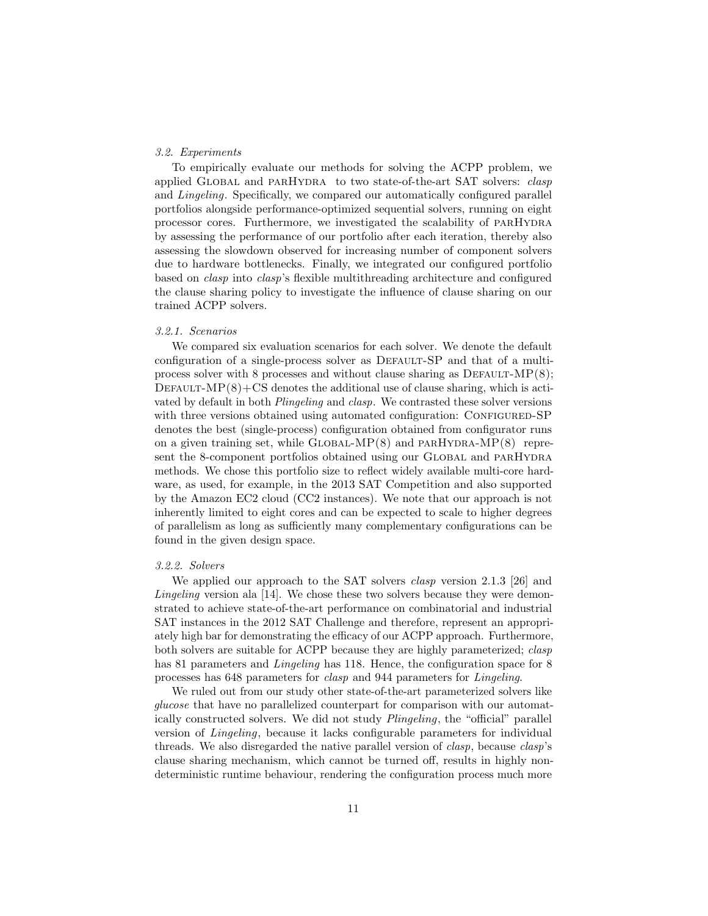# 3.2. Experiments

To empirically evaluate our methods for solving the ACPP problem, we applied GLOBAL and PARHYDRA to two state-of-the-art SAT solvers: clasp and Lingeling. Specifically, we compared our automatically configured parallel portfolios alongside performance-optimized sequential solvers, running on eight processor cores. Furthermore, we investigated the scalability of parHydra by assessing the performance of our portfolio after each iteration, thereby also assessing the slowdown observed for increasing number of component solvers due to hardware bottlenecks. Finally, we integrated our configured portfolio based on clasp into clasp's flexible multithreading architecture and configured the clause sharing policy to investigate the influence of clause sharing on our trained ACPP solvers.

## 3.2.1. Scenarios

We compared six evaluation scenarios for each solver. We denote the default configuration of a single-process solver as DEFAULT-SP and that of a multiprocess solver with 8 processes and without clause sharing as  $DEFAULT-MP(8);$ DEFAULT-MP $(8)$ +CS denotes the additional use of clause sharing, which is activated by default in both Plingeling and clasp. We contrasted these solver versions with three versions obtained using automated configuration: CONFIGURED-SP denotes the best (single-process) configuration obtained from configurator runs on a given training set, while  $GLOBAL-MP(8)$  and  $PARHYDRA-MP(8)$  represent the 8-component portfolios obtained using our GLOBAL and PARHYDRA methods. We chose this portfolio size to reflect widely available multi-core hardware, as used, for example, in the 2013 SAT Competition and also supported by the Amazon EC2 cloud (CC2 instances). We note that our approach is not inherently limited to eight cores and can be expected to scale to higher degrees of parallelism as long as sufficiently many complementary configurations can be found in the given design space.

#### 3.2.2. Solvers

We applied our approach to the SAT solvers *clasp* version 2.1.3 [26] and Lingeling version ala [14]. We chose these two solvers because they were demonstrated to achieve state-of-the-art performance on combinatorial and industrial SAT instances in the 2012 SAT Challenge and therefore, represent an appropriately high bar for demonstrating the efficacy of our ACPP approach. Furthermore, both solvers are suitable for ACPP because they are highly parameterized; clasp has 81 parameters and *Lingeling* has 118. Hence, the configuration space for 8 processes has 648 parameters for clasp and 944 parameters for Lingeling.

We ruled out from our study other state-of-the-art parameterized solvers like glucose that have no parallelized counterpart for comparison with our automatically constructed solvers. We did not study Plingeling, the "official" parallel version of Lingeling, because it lacks configurable parameters for individual threads. We also disregarded the native parallel version of clasp, because clasp's clause sharing mechanism, which cannot be turned off, results in highly nondeterministic runtime behaviour, rendering the configuration process much more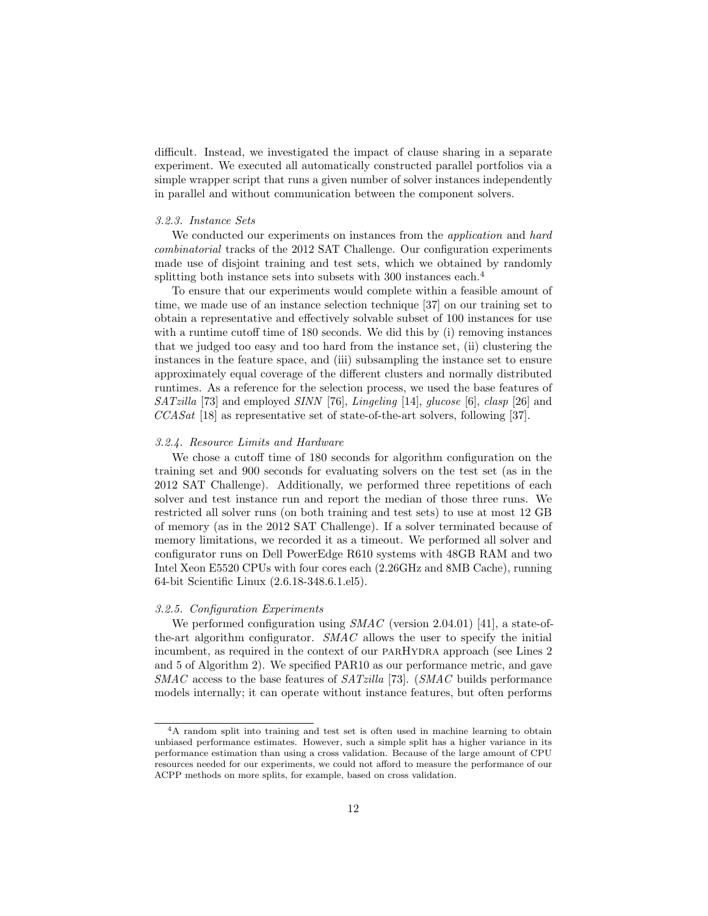difficult. Instead, we investigated the impact of clause sharing in a separate experiment. We executed all automatically constructed parallel portfolios via a simple wrapper script that runs a given number of solver instances independently in parallel and without communication between the component solvers.

## 3.2.3. Instance Sets

We conducted our experiments on instances from the *application* and *hard* combinatorial tracks of the 2012 SAT Challenge. Our configuration experiments made use of disjoint training and test sets, which we obtained by randomly splitting both instance sets into subsets with 300 instances each.<sup>4</sup>

To ensure that our experiments would complete within a feasible amount of time, we made use of an instance selection technique [37] on our training set to obtain a representative and effectively solvable subset of 100 instances for use with a runtime cutoff time of 180 seconds. We did this by (i) removing instances that we judged too easy and too hard from the instance set, (ii) clustering the instances in the feature space, and (iii) subsampling the instance set to ensure approximately equal coverage of the different clusters and normally distributed runtimes. As a reference for the selection process, we used the base features of SATzilla [73] and employed SINN [76], Lingeling [14], glucose [6], clasp [26] and  $CCASat$  [18] as representative set of state-of-the-art solvers, following [37].

#### 3.2.4. Resource Limits and Hardware

We chose a cutoff time of 180 seconds for algorithm configuration on the training set and 900 seconds for evaluating solvers on the test set (as in the 2012 SAT Challenge). Additionally, we performed three repetitions of each solver and test instance run and report the median of those three runs. We restricted all solver runs (on both training and test sets) to use at most 12 GB of memory (as in the 2012 SAT Challenge). If a solver terminated because of memory limitations, we recorded it as a timeout. We performed all solver and configurator runs on Dell PowerEdge R610 systems with 48GB RAM and two Intel Xeon E5520 CPUs with four cores each (2.26GHz and 8MB Cache), running 64-bit Scientific Linux (2.6.18-348.6.1.el5).

# 3.2.5. Configuration Experiments

We performed configuration using  $SMAC$  (version 2.04.01) [41], a state-ofthe-art algorithm configurator. SMAC allows the user to specify the initial incumbent, as required in the context of our PARHYDRA approach (see Lines 2) and 5 of Algorithm 2). We specified PAR10 as our performance metric, and gave SMAC access to the base features of SATzilla [73]. (SMAC builds performance models internally; it can operate without instance features, but often performs

<sup>4</sup>A random split into training and test set is often used in machine learning to obtain unbiased performance estimates. However, such a simple split has a higher variance in its performance estimation than using a cross validation. Because of the large amount of CPU resources needed for our experiments, we could not afford to measure the performance of our ACPP methods on more splits, for example, based on cross validation.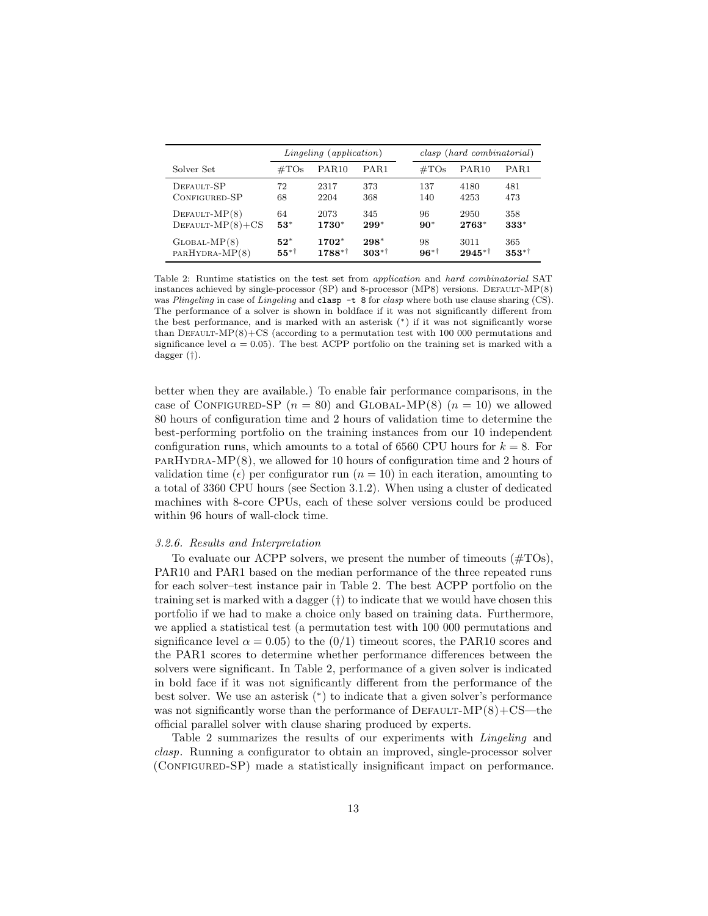|                       |                | $Lineeling$ (application) |                  |                | $clasp$ (hard combinatorial) |            |
|-----------------------|----------------|---------------------------|------------------|----------------|------------------------------|------------|
| Solver Set            | $\#\text{TOs}$ | PAR <sub>10</sub>         | PAR1             | $\#\text{TOs}$ | PAR <sub>10</sub>            | PAR1       |
| DEFAULT-SP            | 72             | 2317                      | 373              | 137            | 4180                         | 481        |
| CONFIGURED-SP         | 68             | 2204                      | 368              | 140            | 4253                         | 473        |
| $DEFAULT-MP(8)$       | 64             | 2073                      | 345              | 96             | 2950                         | 358        |
| DEFAULT- $MP(8) + CS$ | $53*$          | 1730*                     | $299*$           | $90*$          | $2763*$                      | $333*$     |
| $G$ LOBAL- $MP(8)$    | $52*$          | $1702*$                   | $298*$           | 98             | 3011                         | 365        |
| PARHYDRA-MP(8)        | $55^{*+}$      | $1788^{*}$ <sup>†</sup>   | $303*^{\dagger}$ | $96*1$         | $2945**$                     | $353^{*+}$ |

Table 2: Runtime statistics on the test set from application and hard combinatorial SAT instances achieved by single-processor (SP) and 8-processor (MP8) versions. DEFAULT-MP(8) was Plingeling in case of Lingeling and clasp  $-t$  8 for clasp where both use clause sharing (CS). The performance of a solver is shown in boldface if it was not significantly different from the best performance, and is marked with an asterisk (∗) if it was not significantly worse than DEFAULT-MP $(8)$ +CS (according to a permutation test with 100 000 permutations and significance level  $\alpha = 0.05$ ). The best ACPP portfolio on the training set is marked with a dagger (†).

better when they are available.) To enable fair performance comparisons, in the case of CONFIGURED-SP  $(n = 80)$  and GLOBAL-MP(8)  $(n = 10)$  we allowed 80 hours of configuration time and 2 hours of validation time to determine the best-performing portfolio on the training instances from our 10 independent configuration runs, which amounts to a total of 6560 CPU hours for  $k = 8$ . For  $PARHYDRA-MP(8)$ , we allowed for 10 hours of configuration time and 2 hours of validation time ( $\epsilon$ ) per configurator run ( $n = 10$ ) in each iteration, amounting to a total of 3360 CPU hours (see Section 3.1.2). When using a cluster of dedicated machines with 8-core CPUs, each of these solver versions could be produced within 96 hours of wall-clock time.

#### 3.2.6. Results and Interpretation

To evaluate our ACPP solvers, we present the number of timeouts  $(\text{\#TOs})$ , PAR10 and PAR1 based on the median performance of the three repeated runs for each solver–test instance pair in Table 2. The best ACPP portfolio on the training set is marked with a dagger (†) to indicate that we would have chosen this portfolio if we had to make a choice only based on training data. Furthermore, we applied a statistical test (a permutation test with 100 000 permutations and significance level  $\alpha = 0.05$ ) to the  $(0/1)$  timeout scores, the PAR10 scores and the PAR1 scores to determine whether performance differences between the solvers were significant. In Table 2, performance of a given solver is indicated in bold face if it was not significantly different from the performance of the best solver. We use an asterisk (<sup>∗</sup> ) to indicate that a given solver's performance was not significantly worse than the performance of  $DEFAULT-MP(8)+CS$ —the official parallel solver with clause sharing produced by experts.

Table 2 summarizes the results of our experiments with Lingeling and clasp. Running a configurator to obtain an improved, single-processor solver (CONFIGURED-SP) made a statistically insignificant impact on performance.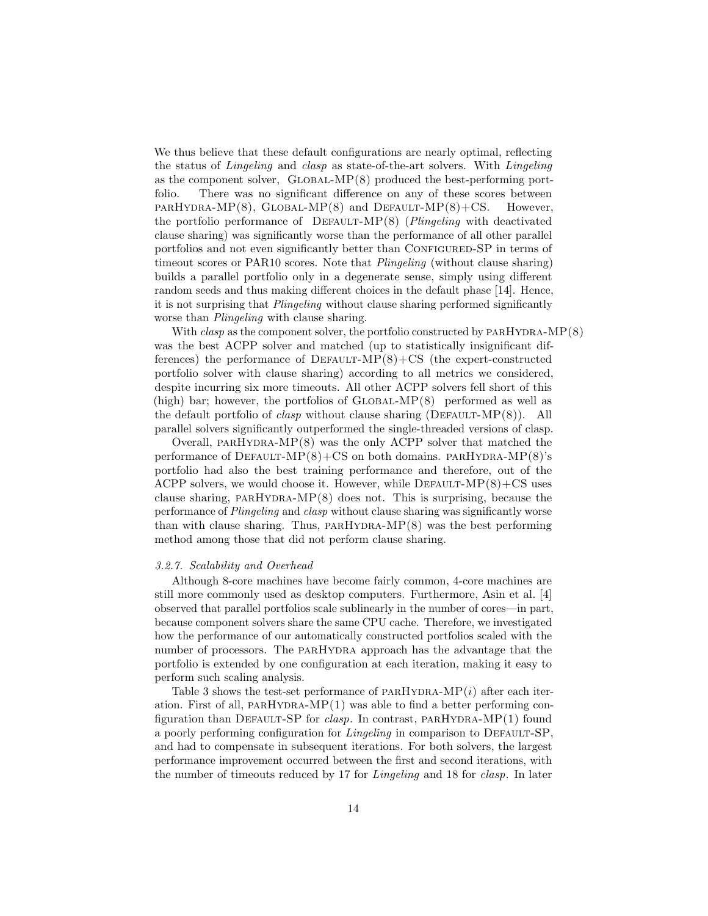We thus believe that these default configurations are nearly optimal, reflecting the status of Lingeling and clasp as state-of-the-art solvers. With Lingeling as the component solver,  $G_{\text{LOBAL-MP}(8)}$  produced the best-performing portfolio. There was no significant difference on any of these scores between  $PARHYDRA-MP(8)$ , GLOBAL-MP(8) and DEFAULT-MP(8)+CS. However, the portfolio performance of DEFAULT-MP $(8)$  (Plingeling with deactivated clause sharing) was significantly worse than the performance of all other parallel portfolios and not even significantly better than CONFIGURED-SP in terms of timeout scores or PAR10 scores. Note that Plingeling (without clause sharing) builds a parallel portfolio only in a degenerate sense, simply using different random seeds and thus making different choices in the default phase [14]. Hence, it is not surprising that Plingeling without clause sharing performed significantly worse than *Plingeling* with clause sharing.

With *clasp* as the component solver, the portfolio constructed by PARHYDRA-MP $(8)$ was the best ACPP solver and matched (up to statistically insignificant differences) the performance of  $DEFAULT-MP(8)+CS$  (the expert-constructed portfolio solver with clause sharing) according to all metrics we considered, despite incurring six more timeouts. All other ACPP solvers fell short of this (high) bar; however, the portfolios of  $GLOBAL-MP(8)$  performed as well as the default portfolio of *clasp* without clause sharing (DEFAULT-MP $(8)$ ). All parallel solvers significantly outperformed the single-threaded versions of clasp.

Overall, PARHYDRA-MP $(8)$  was the only ACPP solver that matched the performance of DEFAULT-MP $(8)$ +CS on both domains. PARHYDRA-MP $(8)$ 's portfolio had also the best training performance and therefore, out of the ACPP solvers, we would choose it. However, while  $DEFAULT-MP(8)+CS$  uses clause sharing,  $PARHYDRA-MP(8)$  does not. This is surprising, because the performance of Plingeling and clasp without clause sharing was significantly worse than with clause sharing. Thus,  $PARHYDRA-MP(8)$  was the best performing method among those that did not perform clause sharing.

#### 3.2.7. Scalability and Overhead

Although 8-core machines have become fairly common, 4-core machines are still more commonly used as desktop computers. Furthermore, Asin et al. [4] observed that parallel portfolios scale sublinearly in the number of cores—in part, because component solvers share the same CPU cache. Therefore, we investigated how the performance of our automatically constructed portfolios scaled with the number of processors. The parHydra approach has the advantage that the portfolio is extended by one configuration at each iteration, making it easy to perform such scaling analysis.

Table 3 shows the test-set performance of PARHYDRA-MP $(i)$  after each iteration. First of all,  $PARHYDRA-MP(1)$  was able to find a better performing configuration than DEFAULT-SP for *clasp*. In contrast, PARHYDRA-MP $(1)$  found a poorly performing configuration for Lingeling in comparison to Default-SP, and had to compensate in subsequent iterations. For both solvers, the largest performance improvement occurred between the first and second iterations, with the number of timeouts reduced by 17 for Lingeling and 18 for clasp. In later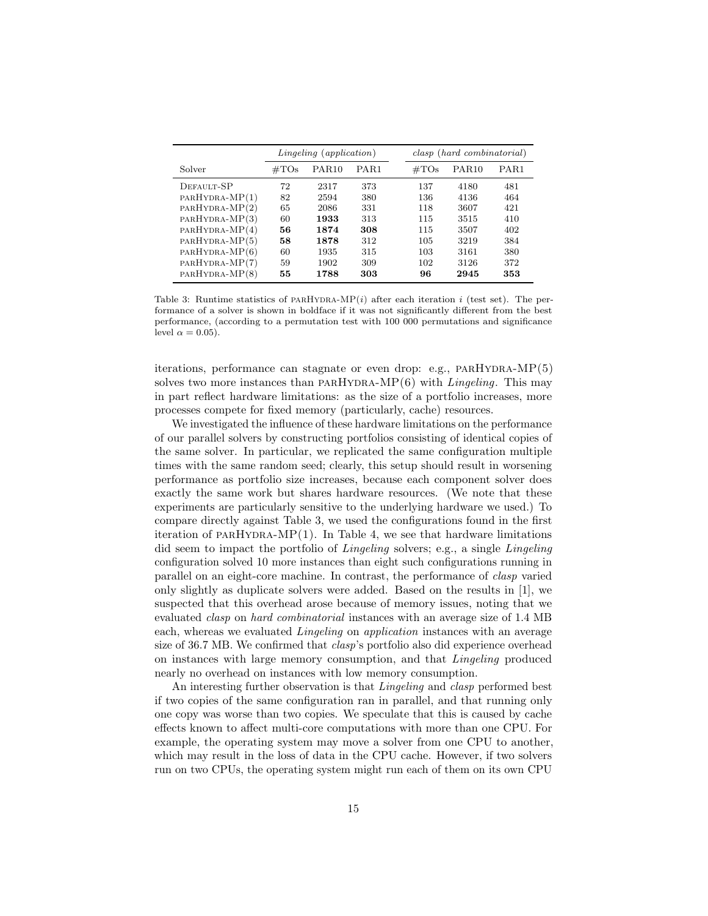|                  | $Lingeling$ (application) |                   |      |                | clasp (hard combinatorial) |      |
|------------------|---------------------------|-------------------|------|----------------|----------------------------|------|
| Solver           | $\#\text{TOs}$            | PAR <sub>10</sub> | PAR1 | $\#\text{TOs}$ | PAR <sub>10</sub>          | PAR1 |
| DEFAULT-SP       | 72                        | 2317              | 373  | 137            | 4180                       | 481  |
| $PARHYDRA-MP(1)$ | 82                        | 2594              | 380  | 136            | 4136                       | 464  |
| $PARHYDRA-MP(2)$ | 65                        | 2086              | 331  | 118            | 3607                       | 421  |
| $PARHYDRA-MP(3)$ | 60                        | 1933              | 313  | 115            | 3515                       | 410  |
| $PARHYDRA-MP(4)$ | 56                        | 1874              | 308  | 115            | 3507                       | 402  |
| $PARHYDRA-MP(5)$ | 58                        | 1878              | 312  | 105            | 3219                       | 384  |
| $PARHYDRA-MP(6)$ | 60                        | 1935              | 315  | 103            | 3161                       | 380  |
| $PARHYDRA-MP(7)$ | 59                        | 1902              | 309  | 102            | 3126                       | 372  |
| $PARHYDRA-MP(8)$ | 55                        | 1788              | 303  | 96             | 2945                       | 353  |

Table 3: Runtime statistics of PARHYDRA-MP $(i)$  after each iteration i (test set). The performance of a solver is shown in boldface if it was not significantly different from the best performance, (according to a permutation test with 100 000 permutations and significance level  $\alpha = 0.05$ ).

iterations, performance can stagnate or even drop: e.g.,  $PARHYDRA-MP(5)$ solves two more instances than PARHYDRA-MP $(6)$  with Lingeling. This may in part reflect hardware limitations: as the size of a portfolio increases, more processes compete for fixed memory (particularly, cache) resources.

We investigated the influence of these hardware limitations on the performance of our parallel solvers by constructing portfolios consisting of identical copies of the same solver. In particular, we replicated the same configuration multiple times with the same random seed; clearly, this setup should result in worsening performance as portfolio size increases, because each component solver does exactly the same work but shares hardware resources. (We note that these experiments are particularly sensitive to the underlying hardware we used.) To compare directly against Table 3, we used the configurations found in the first iteration of PARHYDRA-MP $(1)$ . In Table 4, we see that hardware limitations did seem to impact the portfolio of Lingeling solvers; e.g., a single Lingeling configuration solved 10 more instances than eight such configurations running in parallel on an eight-core machine. In contrast, the performance of clasp varied only slightly as duplicate solvers were added. Based on the results in [1], we suspected that this overhead arose because of memory issues, noting that we evaluated clasp on hard combinatorial instances with an average size of 1.4 MB each, whereas we evaluated Lingeling on application instances with an average size of 36.7 MB. We confirmed that clasp's portfolio also did experience overhead on instances with large memory consumption, and that Lingeling produced nearly no overhead on instances with low memory consumption.

An interesting further observation is that *Lingeling* and *clasp* performed best if two copies of the same configuration ran in parallel, and that running only one copy was worse than two copies. We speculate that this is caused by cache effects known to affect multi-core computations with more than one CPU. For example, the operating system may move a solver from one CPU to another, which may result in the loss of data in the CPU cache. However, if two solvers run on two CPUs, the operating system might run each of them on its own CPU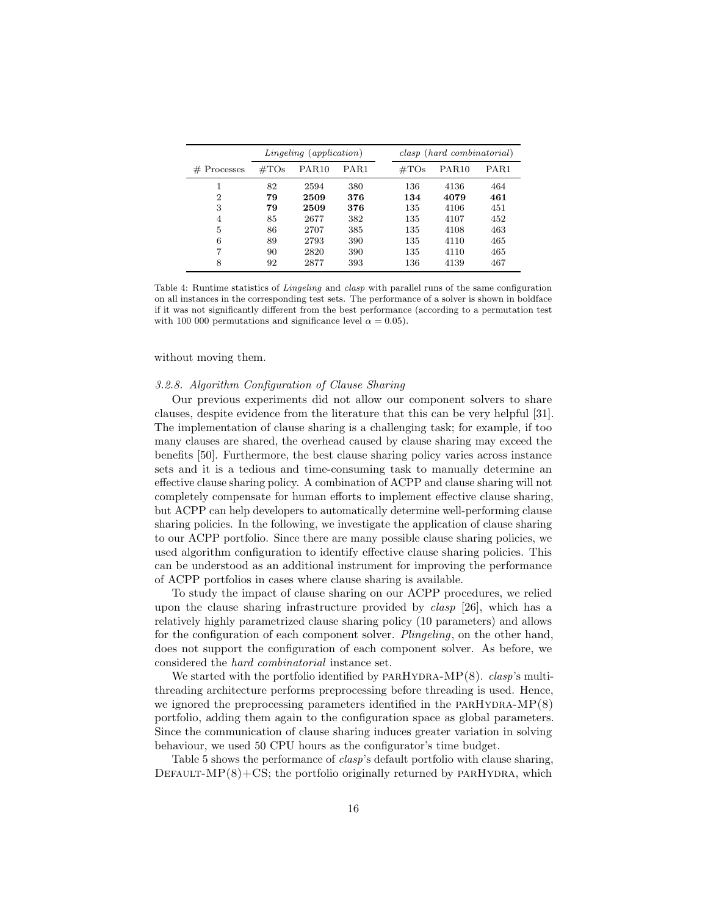|               | Linguing (application) |                   |      |  | clasp (hard combinatorial) |                   |      |
|---------------|------------------------|-------------------|------|--|----------------------------|-------------------|------|
| $#$ Processes | $\#\text{TOs}$         | PAR <sub>10</sub> | PAR1 |  | $\#\text{TOs}$             | PAR <sub>10</sub> | PAR1 |
|               | 82                     | 2594              | 380  |  | 136                        | 4136              | 464  |
| 2             | 79                     | 2509              | 376  |  | 134                        | 4079              | 461  |
| 3             | 79                     | 2509              | 376  |  | 135                        | 4106              | 451  |
| 4             | 85                     | 2677              | 382  |  | 135                        | 4107              | 452  |
| 5             | 86                     | 2707              | 385  |  | 135                        | 4108              | 463  |
| 6             | 89                     | 2793              | 390  |  | 135                        | 4110              | 465  |
|               | 90                     | 2820              | 390  |  | 135                        | 4110              | 465  |
| 8             | 92                     | 2877              | 393  |  | 136                        | 4139              | 467  |

Table 4: Runtime statistics of *Lingeling* and *clasp* with parallel runs of the same configuration on all instances in the corresponding test sets. The performance of a solver is shown in boldface if it was not significantly different from the best performance (according to a permutation test with 100 000 permutations and significance level  $\alpha = 0.05$ ).

without moving them.

## 3.2.8. Algorithm Configuration of Clause Sharing

Our previous experiments did not allow our component solvers to share clauses, despite evidence from the literature that this can be very helpful [31]. The implementation of clause sharing is a challenging task; for example, if too many clauses are shared, the overhead caused by clause sharing may exceed the benefits [50]. Furthermore, the best clause sharing policy varies across instance sets and it is a tedious and time-consuming task to manually determine an effective clause sharing policy. A combination of ACPP and clause sharing will not completely compensate for human efforts to implement effective clause sharing, but ACPP can help developers to automatically determine well-performing clause sharing policies. In the following, we investigate the application of clause sharing to our ACPP portfolio. Since there are many possible clause sharing policies, we used algorithm configuration to identify effective clause sharing policies. This can be understood as an additional instrument for improving the performance of ACPP portfolios in cases where clause sharing is available.

To study the impact of clause sharing on our ACPP procedures, we relied upon the clause sharing infrastructure provided by clasp [26], which has a relatively highly parametrized clause sharing policy (10 parameters) and allows for the configuration of each component solver. Plingeling, on the other hand, does not support the configuration of each component solver. As before, we considered the hard combinatorial instance set.

We started with the portfolio identified by PARHYDRA-MP $(8)$ . clasp's multithreading architecture performs preprocessing before threading is used. Hence, we ignored the preprocessing parameters identified in the PARHYDRA-MP $(8)$ portfolio, adding them again to the configuration space as global parameters. Since the communication of clause sharing induces greater variation in solving behaviour, we used 50 CPU hours as the configurator's time budget.

Table 5 shows the performance of clasp's default portfolio with clause sharing, DEFAULT-MP $(8)$ +CS; the portfolio originally returned by PARHYDRA, which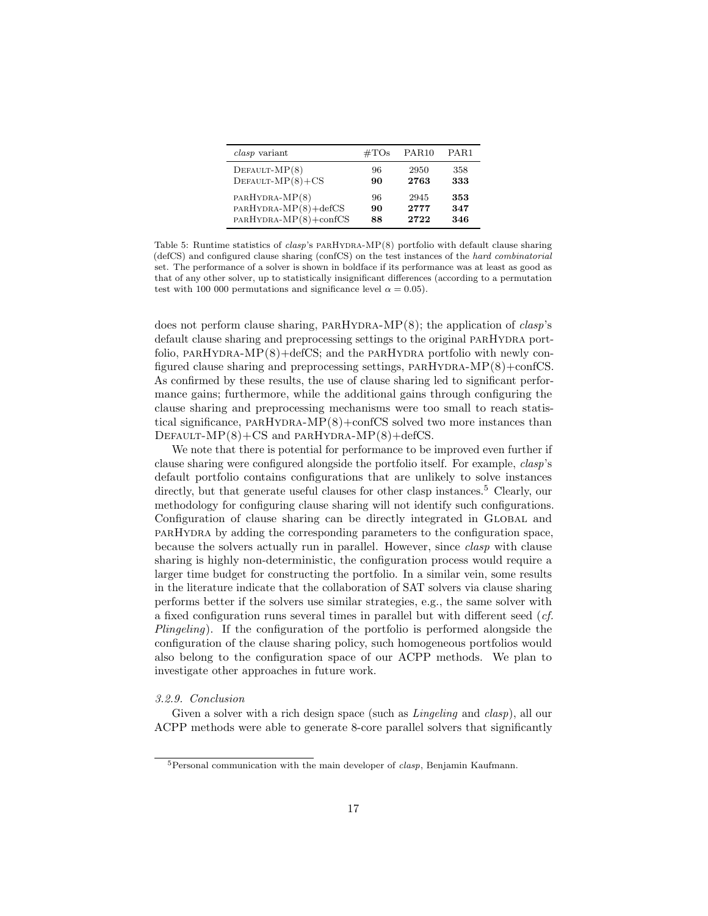| <i>clasp</i> variant    | $\#\text{TOs}$ | PAR <sub>10</sub> | PAR1 |
|-------------------------|----------------|-------------------|------|
| $DEFAULT-MP(8)$         | 96             | 2950              | 358  |
| $DEFAULT-MP(8)+CS$      | 90             | 2763              | 333  |
| $PARHYDRA-MP(8)$        | 96             | 2945              | 353  |
| $PARHYDRA-MP(8)+defCS$  | 90             | 2777              | 347  |
| $PARHYDRA-MP(8)+confCS$ | 88             | 2722              | 346  |

Table 5: Runtime statistics of *clasp*'s PARHYDRA-MP(8) portfolio with default clause sharing (defCS) and configured clause sharing (confCS) on the test instances of the hard combinatorial set. The performance of a solver is shown in boldface if its performance was at least as good as that of any other solver, up to statistically insignificant differences (according to a permutation test with 100 000 permutations and significance level  $\alpha = 0.05$ ).

does not perform clause sharing,  $PARHYDRA-MP(8)$ ; the application of *clasp*'s default clause sharing and preprocessing settings to the original PARHYDRA portfolio,  $PARHYDRA-MP(8)+defCS$ ; and the PARHYDRA portfolio with newly configured clause sharing and preprocessing settings,  $PARHYDRA-MP(8)+confCS$ . As confirmed by these results, the use of clause sharing led to significant performance gains; furthermore, while the additional gains through configuring the clause sharing and preprocessing mechanisms were too small to reach statistical significance,  $PARHYDRA-MP(8)+confCS$  solved two more instances than DEFAULT-MP $(8)$ +CS and PARHYDRA-MP $(8)$ +defCS.

We note that there is potential for performance to be improved even further if clause sharing were configured alongside the portfolio itself. For example, clasp's default portfolio contains configurations that are unlikely to solve instances directly, but that generate useful clauses for other clasp instances.<sup>5</sup> Clearly, our methodology for configuring clause sharing will not identify such configurations. Configuration of clause sharing can be directly integrated in Global and parHydra by adding the corresponding parameters to the configuration space, because the solvers actually run in parallel. However, since clasp with clause sharing is highly non-deterministic, the configuration process would require a larger time budget for constructing the portfolio. In a similar vein, some results in the literature indicate that the collaboration of SAT solvers via clause sharing performs better if the solvers use similar strategies, e.g., the same solver with a fixed configuration runs several times in parallel but with different seed (cf. Plingeling). If the configuration of the portfolio is performed alongside the configuration of the clause sharing policy, such homogeneous portfolios would also belong to the configuration space of our ACPP methods. We plan to investigate other approaches in future work.

## 3.2.9. Conclusion

Given a solver with a rich design space (such as *Lingeling* and *clasp*), all our ACPP methods were able to generate 8-core parallel solvers that significantly

<sup>&</sup>lt;sup>5</sup>Personal communication with the main developer of *clasp*, Benjamin Kaufmann.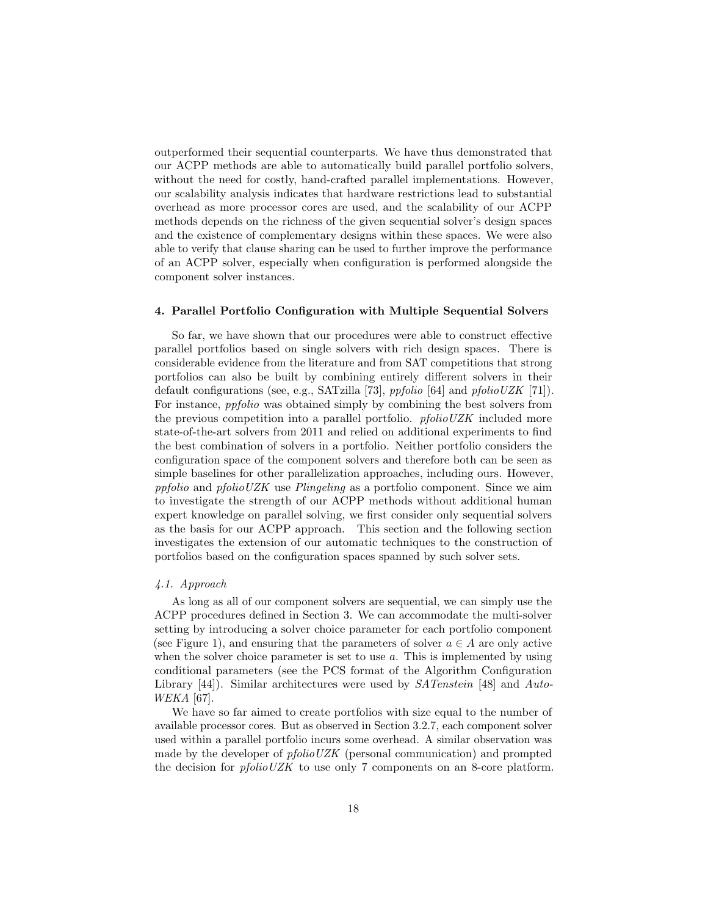outperformed their sequential counterparts. We have thus demonstrated that our ACPP methods are able to automatically build parallel portfolio solvers, without the need for costly, hand-crafted parallel implementations. However, our scalability analysis indicates that hardware restrictions lead to substantial overhead as more processor cores are used, and the scalability of our ACPP methods depends on the richness of the given sequential solver's design spaces and the existence of complementary designs within these spaces. We were also able to verify that clause sharing can be used to further improve the performance of an ACPP solver, especially when configuration is performed alongside the component solver instances.

#### 4. Parallel Portfolio Configuration with Multiple Sequential Solvers

So far, we have shown that our procedures were able to construct effective parallel portfolios based on single solvers with rich design spaces. There is considerable evidence from the literature and from SAT competitions that strong portfolios can also be built by combining entirely different solvers in their default configurations (see, e.g., SATzilla [73], ppfolio  $[64]$  and pfolioUZK [71]). For instance, ppfolio was obtained simply by combining the best solvers from the previous competition into a parallel portfolio.  $pfolio UZK$  included more state-of-the-art solvers from 2011 and relied on additional experiments to find the best combination of solvers in a portfolio. Neither portfolio considers the configuration space of the component solvers and therefore both can be seen as simple baselines for other parallelization approaches, including ours. However, ppfolio and pfolioUZK use Plingeling as a portfolio component. Since we aim to investigate the strength of our ACPP methods without additional human expert knowledge on parallel solving, we first consider only sequential solvers as the basis for our ACPP approach. This section and the following section investigates the extension of our automatic techniques to the construction of portfolios based on the configuration spaces spanned by such solver sets.

#### 4.1. Approach

As long as all of our component solvers are sequential, we can simply use the ACPP procedures defined in Section 3. We can accommodate the multi-solver setting by introducing a solver choice parameter for each portfolio component (see Figure 1), and ensuring that the parameters of solver  $a \in A$  are only active when the solver choice parameter is set to use  $a$ . This is implemented by using conditional parameters (see the PCS format of the Algorithm Configuration Library [44]). Similar architectures were used by *SATenstein* [48] and *Auto-*WEKA [67].

We have so far aimed to create portfolios with size equal to the number of available processor cores. But as observed in Section 3.2.7, each component solver used within a parallel portfolio incurs some overhead. A similar observation was made by the developer of  $pfolio UZK$  (personal communication) and prompted the decision for *pfolioUZK* to use only 7 components on an 8-core platform.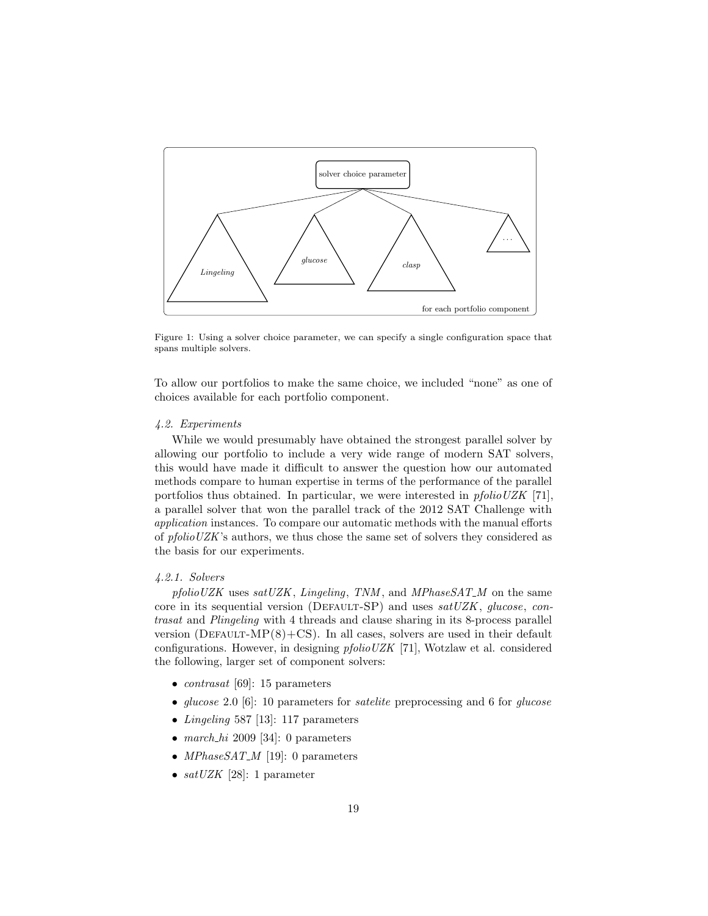

Figure 1: Using a solver choice parameter, we can specify a single configuration space that spans multiple solvers.

To allow our portfolios to make the same choice, we included "none" as one of choices available for each portfolio component.

#### 4.2. Experiments

While we would presumably have obtained the strongest parallel solver by allowing our portfolio to include a very wide range of modern SAT solvers, this would have made it difficult to answer the question how our automated methods compare to human expertise in terms of the performance of the parallel portfolios thus obtained. In particular, we were interested in  $pfolio UZK [71]$ , a parallel solver that won the parallel track of the 2012 SAT Challenge with application instances. To compare our automatic methods with the manual efforts of pfolioUZK's authors, we thus chose the same set of solvers they considered as the basis for our experiments.

# 4.2.1. Solvers

 $pfolio UZK$  uses sat $UZK$ , Lingeling, TNM, and MPhaseSAT\_M on the same core in its sequential version (DEFAULT-SP) and uses  $satUZK$ ,  $glucose$ , contrasat and Plingeling with 4 threads and clause sharing in its 8-process parallel version (DEFAULT-MP $(8)$ +CS). In all cases, solvers are used in their default configurations. However, in designing pfolioUZK [71], Wotzlaw et al. considered the following, larger set of component solvers:

- *contrasat* [69]: 15 parameters
- glucose 2.0 [6]: 10 parameters for *satelite* preprocessing and 6 for *glucose*
- Lingeling 587 [13]: 117 parameters
- march\_hi 2009 [34]: 0 parameters
- $MPhaseSAT_M$  [19]: 0 parameters
- satUZK [28]: 1 parameter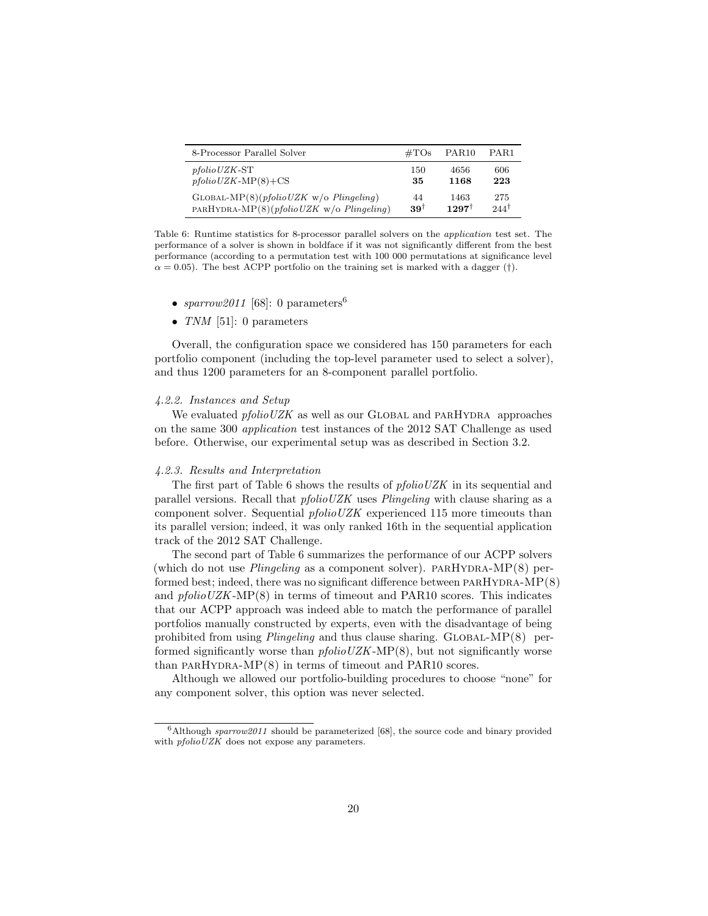| 8-Processor Parallel Solver                  | $\#\text{TOs}$ | PAR <sub>10</sub> | PAR1            |
|----------------------------------------------|----------------|-------------------|-----------------|
| $pfolio UZK$ -ST                             | 150            | 4656              | 606             |
| $pfolio UZK-MP(8)+CS$                        | 35             | 1168              | 223             |
| $GLOBAL-MP(8)(pfolio UZK w/o Plingeling)$    | 44             | 1463              | 275             |
| PARHYDRA-MP $(8)(pfolio UZK w/o Plingeling)$ | $39^{\dagger}$ | $1297^{\dagger}$  | $244^{\dagger}$ |

Table 6: Runtime statistics for 8-processor parallel solvers on the application test set. The performance of a solver is shown in boldface if it was not significantly different from the best performance (according to a permutation test with 100 000 permutations at significance level  $\alpha = 0.05$ ). The best ACPP portfolio on the training set is marked with a dagger (†).

- sparrow 2011 [68]: 0 parameters<sup>6</sup>
- TNM [51]: 0 parameters

Overall, the configuration space we considered has 150 parameters for each portfolio component (including the top-level parameter used to select a solver), and thus 1200 parameters for an 8-component parallel portfolio.

## 4.2.2. Instances and Setup

We evaluated  $pfolio UZK$  as well as our GLOBAL and PARHYDRA approaches on the same 300 application test instances of the 2012 SAT Challenge as used before. Otherwise, our experimental setup was as described in Section 3.2.

## 4.2.3. Results and Interpretation

The first part of Table 6 shows the results of  $pfolio UZK$  in its sequential and parallel versions. Recall that pfolioUZK uses Plingeling with clause sharing as a component solver. Sequential pfolioUZK experienced 115 more timeouts than its parallel version; indeed, it was only ranked 16th in the sequential application track of the 2012 SAT Challenge.

The second part of Table 6 summarizes the performance of our ACPP solvers (which do not use *Plingeling* as a component solver). PARHYDRA-MP $(8)$  performed best; indeed, there was no significant difference between  $PARHYDRA-MP(8)$ and  $pfolio UZK-MP(8)$  in terms of timeout and PAR10 scores. This indicates that our ACPP approach was indeed able to match the performance of parallel portfolios manually constructed by experts, even with the disadvantage of being prohibited from using  $Plinqeling$  and thus clause sharing. GLOBAL-MP(8) performed significantly worse than  $p\ell oUZK-MP(8)$ , but not significantly worse than PARHYDRA-MP $(8)$  in terms of timeout and PAR10 scores.

Although we allowed our portfolio-building procedures to choose "none" for any component solver, this option was never selected.

 $6$ Although sparrow 2011 should be parameterized [68], the source code and binary provided with *pfolioUZK* does not expose any parameters.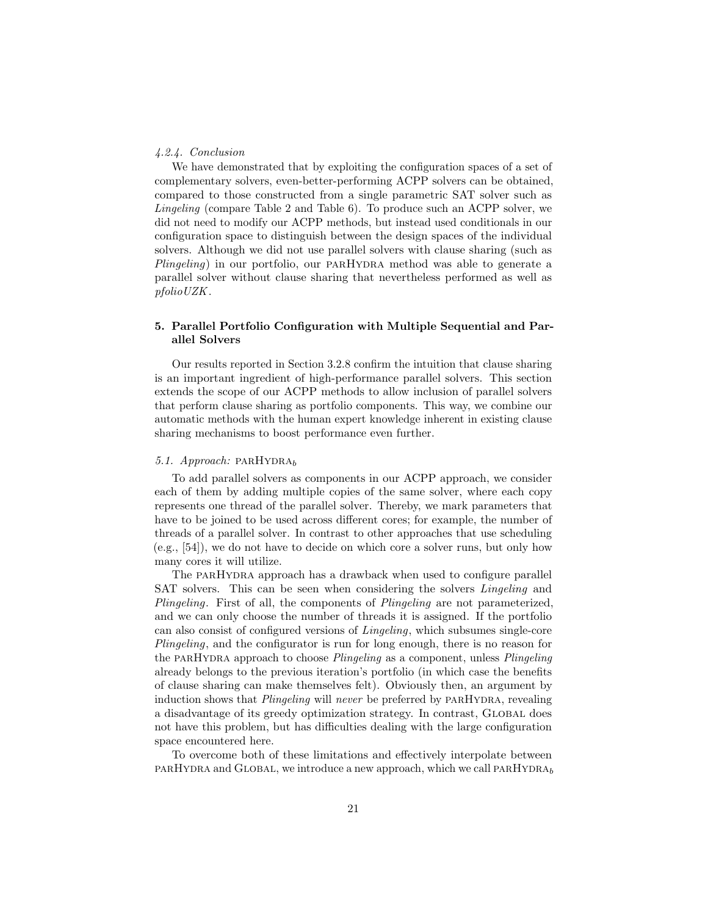# 4.2.4. Conclusion

We have demonstrated that by exploiting the configuration spaces of a set of complementary solvers, even-better-performing ACPP solvers can be obtained, compared to those constructed from a single parametric SAT solver such as Lingeling (compare Table 2 and Table 6). To produce such an ACPP solver, we did not need to modify our ACPP methods, but instead used conditionals in our configuration space to distinguish between the design spaces of the individual solvers. Although we did not use parallel solvers with clause sharing (such as Plingeling) in our portfolio, our PARHYDRA method was able to generate a parallel solver without clause sharing that nevertheless performed as well as pfolioUZK.

# 5. Parallel Portfolio Configuration with Multiple Sequential and Parallel Solvers

Our results reported in Section 3.2.8 confirm the intuition that clause sharing is an important ingredient of high-performance parallel solvers. This section extends the scope of our ACPP methods to allow inclusion of parallel solvers that perform clause sharing as portfolio components. This way, we combine our automatic methods with the human expert knowledge inherent in existing clause sharing mechanisms to boost performance even further.

## 5.1. Approach: PARHYDRA $_b$

To add parallel solvers as components in our ACPP approach, we consider each of them by adding multiple copies of the same solver, where each copy represents one thread of the parallel solver. Thereby, we mark parameters that have to be joined to be used across different cores; for example, the number of threads of a parallel solver. In contrast to other approaches that use scheduling (e.g., [54]), we do not have to decide on which core a solver runs, but only how many cores it will utilize.

The PARHYDRA approach has a drawback when used to configure parallel SAT solvers. This can be seen when considering the solvers Lingeling and Plingeling. First of all, the components of Plingeling are not parameterized, and we can only choose the number of threads it is assigned. If the portfolio can also consist of configured versions of Lingeling, which subsumes single-core Plingeling, and the configurator is run for long enough, there is no reason for the PARHYDRA approach to choose *Plingeling* as a component, unless *Plingeling* already belongs to the previous iteration's portfolio (in which case the benefits of clause sharing can make themselves felt). Obviously then, an argument by induction shows that *Plingeling* will never be preferred by PARHYDRA, revealing a disadvantage of its greedy optimization strategy. In contrast, Global does not have this problem, but has difficulties dealing with the large configuration space encountered here.

To overcome both of these limitations and effectively interpolate between PARHYDRA and GLOBAL, we introduce a new approach, which we call  $PARHYDRA_b$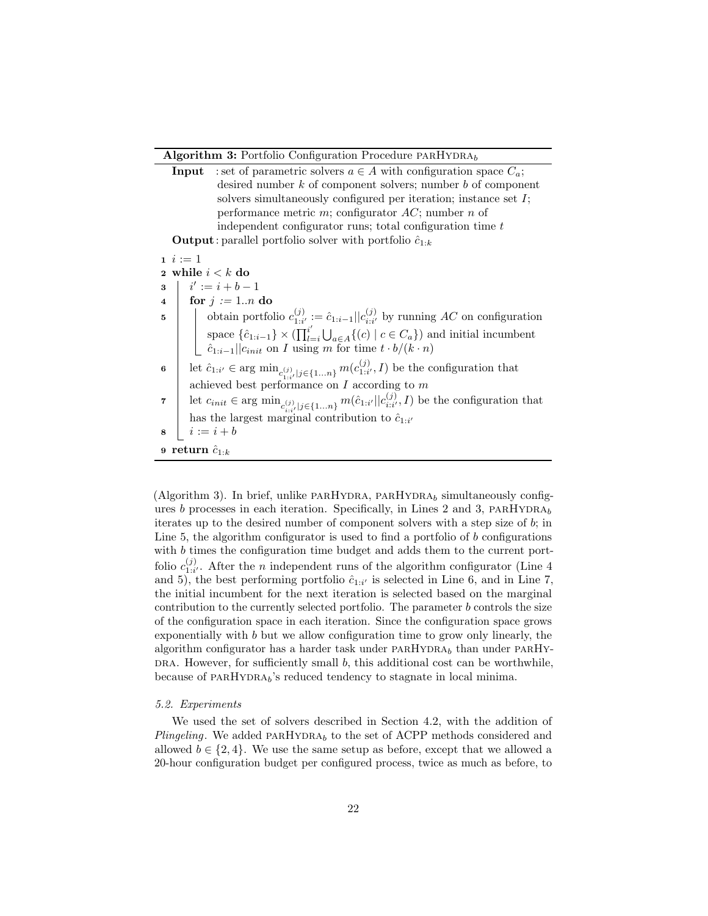# Algorithm 3: Portfolio Configuration Procedure  $PARHYDRA_b$

|   | Input                    | : set of parametric solvers $a \in A$ with configuration space $C_a$ ;                                                                                                                                                                                                                                         |
|---|--------------------------|----------------------------------------------------------------------------------------------------------------------------------------------------------------------------------------------------------------------------------------------------------------------------------------------------------------|
|   |                          | desired number $k$ of component solvers; number $b$ of component                                                                                                                                                                                                                                               |
|   |                          | solvers simultaneously configured per iteration; instance set $I$ ;                                                                                                                                                                                                                                            |
|   |                          | performance metric m; configurator $AC$ ; number n of                                                                                                                                                                                                                                                          |
|   |                          | independent configurator runs; total configuration time $t$                                                                                                                                                                                                                                                    |
|   |                          | <b>Output</b> : parallel portfolio solver with portfolio $\hat{c}_{1:k}$                                                                                                                                                                                                                                       |
|   | $i := 1$                 |                                                                                                                                                                                                                                                                                                                |
|   | 2 while $i < k$ do       |                                                                                                                                                                                                                                                                                                                |
|   |                          | $3   i' := i + b - 1$                                                                                                                                                                                                                                                                                          |
|   |                          | 4   for $j := 1n$ do                                                                                                                                                                                                                                                                                           |
|   |                          | 5<br>botain portfolio $c_{1:i'}^{(j)} := \hat{c}_{1:i-1}    c_{i:i'}^{(j)}$ by running AC on configuration<br>space $\{\hat{c}_{1:i-1}\} \times (\prod_{l=i}^{i'} \bigcup_{a \in A} \{(c)   c \in C_a\})$ and initial incumbent<br>$\hat{c}_{1:i-1}    c_{init}$ on I using m for time $t \cdot b/(k \cdot n)$ |
|   |                          |                                                                                                                                                                                                                                                                                                                |
|   |                          |                                                                                                                                                                                                                                                                                                                |
|   |                          | 6 et $\hat{c}_{1:i'} \in \arg \min_{c_{1:i'}^{(j)}   j \in \{1n\}} m(c_{1:i'}^{(j)}, I)$ be the configuration that<br>achieved best performance on Laccording to m                                                                                                                                             |
|   |                          | achieved best performance on $I$ according to $m$                                                                                                                                                                                                                                                              |
|   |                          | $\begin{array}{c} \mathbf{7} \quad \  \  \, \text{let } c_{init} \in \arg\min_{c_{i;i'}^{(j)} \mid j \in \{1n\}} m(\hat{c}_{1:i'}    c_{i:i'}^{(j)}, I) \text{ be the configuration that} \end{array}$                                                                                                         |
|   |                          | has the largest marginal contribution to $\hat{c}_{1:i'}$                                                                                                                                                                                                                                                      |
| 8 | $\vert i := i + b$       |                                                                                                                                                                                                                                                                                                                |
|   | 9 return $\hat{c}_{1:k}$ |                                                                                                                                                                                                                                                                                                                |

(Algorithm 3). In brief, unlike PARHYDRA, PARHYDRA $_b$  simultaneously configures b processes in each iteration. Specifically, in Lines 2 and 3,  $PARHYDRA<sub>b</sub>$ iterates up to the desired number of component solvers with a step size of b; in Line 5, the algorithm configurator is used to find a portfolio of  $b$  configurations with *b* times the configuration time budget and adds them to the current portfolio  $c_{1,i}^{(j)}$  $\mathcal{L}_{1:i'}^{(j)}$ . After the *n* independent runs of the algorithm configurator (Line 4) and 5), the best performing portfolio  $\hat{c}_{1:i'}$  is selected in Line 6, and in Line 7, the initial incumbent for the next iteration is selected based on the marginal contribution to the currently selected portfolio. The parameter  $b$  controls the size of the configuration space in each iteration. Since the configuration space grows exponentially with  $b$  but we allow configuration time to grow only linearly, the algorithm configurator has a harder task under  $PARHYDRA_b$  than under  $PARHY-$ DRA. However, for sufficiently small  $b$ , this additional cost can be worthwhile, because of  $PARHYDRA_b$ 's reduced tendency to stagnate in local minima.

#### 5.2. Experiments

We used the set of solvers described in Section 4.2, with the addition of *Plingeling.* We added PARHYDRA<sub>b</sub> to the set of ACPP methods considered and allowed  $b \in \{2, 4\}$ . We use the same setup as before, except that we allowed a 20-hour configuration budget per configured process, twice as much as before, to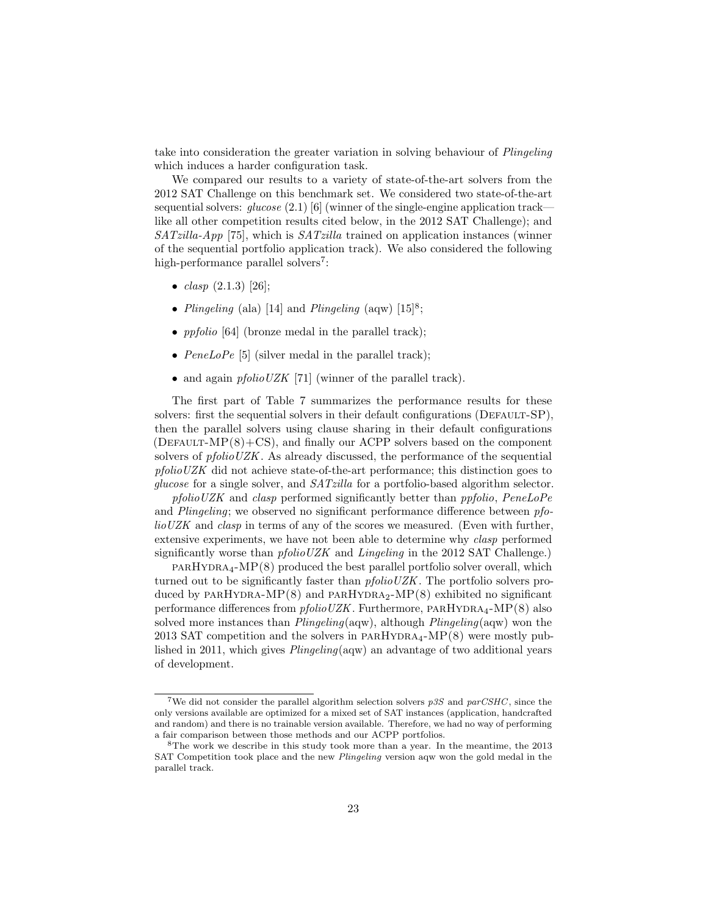take into consideration the greater variation in solving behaviour of Plingeling which induces a harder configuration task.

We compared our results to a variety of state-of-the-art solvers from the 2012 SAT Challenge on this benchmark set. We considered two state-of-the-art sequential solvers: glucose  $(2.1)$  [6] (winner of the single-engine application tracklike all other competition results cited below, in the 2012 SAT Challenge); and  $SATzilla-App$  [75], which is  $SATzilla$  trained on application instances (winner of the sequential portfolio application track). We also considered the following high-performance parallel solvers<sup>7</sup>:

- $clasp (2.1.3) [26];$
- Plingeling (ala) [14] and Plingeling (aqw)  $[15]^8$ ;
- *ppfolio* [64] (bronze medal in the parallel track);
- $PeneLoPe$  [5] (silver medal in the parallel track);
- and again  $pfolio UZK$  [71] (winner of the parallel track).

The first part of Table 7 summarizes the performance results for these solvers: first the sequential solvers in their default configurations (DEFAULT-SP). then the parallel solvers using clause sharing in their default configurations (DEFAULT-MP $(8)$ +CS), and finally our ACPP solvers based on the component solvers of  $pfolio UZK$ . As already discussed, the performance of the sequential  $pfolio UZK$  did not achieve state-of-the-art performance; this distinction goes to glucose for a single solver, and SATzilla for a portfolio-based algorithm selector.

pfolio UZK and clasp performed significantly better than ppfolio,  $PeneLoPe$ and *Plingeling*; we observed no significant performance difference between  $p$  folioUZK and clasp in terms of any of the scores we measured. (Even with further, extensive experiments, we have not been able to determine why clasp performed significantly worse than *pfolioUZK* and *Lingeling* in the 2012 SAT Challenge.)

 $PARHYDRA<sub>4</sub>-MP(8)$  produced the best parallel portfolio solver overall, which turned out to be significantly faster than  $pfolio UZK$ . The portfolio solvers produced by PARHYDRA-MP(8) and PARHYDRA<sub>2</sub>-MP(8) exhibited no significant performance differences from  $pfolio UZK$ . Furthermore, PARHYDRA<sub>4</sub>-MP(8) also solved more instances than  $Plingeling(aqw)$ , although  $Plingeling(aqw)$  won the 2013 SAT competition and the solvers in  $PARHYDRA_4-MP(8)$  were mostly published in 2011, which gives  $Plingeling(\text{aqw})$  an advantage of two additional years of development.

<sup>&</sup>lt;sup>7</sup>We did not consider the parallel algorithm selection solvers  $p3S$  and  $parCSHC$ , since the only versions available are optimized for a mixed set of SAT instances (application, handcrafted and random) and there is no trainable version available. Therefore, we had no way of performing a fair comparison between those methods and our ACPP portfolios.

<sup>&</sup>lt;sup>8</sup>The work we describe in this study took more than a year. In the meantime, the 2013 SAT Competition took place and the new *Plingeling* version aqw won the gold medal in the parallel track.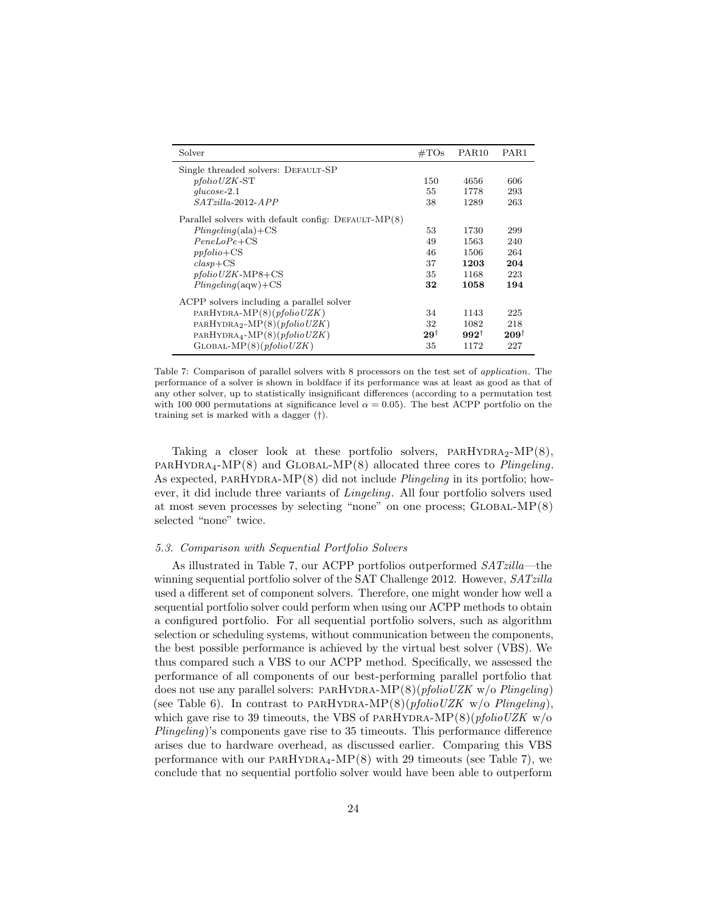| Solver                                              | $\#\text{TOs}$ | PAR <sub>10</sub> | PAR1            |
|-----------------------------------------------------|----------------|-------------------|-----------------|
| Single threaded solvers: DEFAULT-SP                 |                |                   |                 |
| $pfolio UZK-ST$                                     | 150            | 4656              | 606             |
| $glucose-2.1$                                       | 55             | 1778              | 293             |
| $SATzilla$ -2012- $APP$                             | 38             | 1289              | 263             |
| Parallel solvers with default config: DEFAULT-MP(8) |                |                   |                 |
| $Plingeling(ala)+CS$                                | 53             | 1730              | 299             |
| $PeneLoPe + CS$                                     | 49             | 1563              | 240             |
| $ppfolio + CS$                                      | 46             | 1506              | 264             |
| $clasp + CS$                                        | 37             | 1203              | 204             |
| $pfolio UZK-MP8+CS$                                 | 35             | 1168              | 223             |
| $Plingeling(aqw) + CS$                              | 32             | 1058              | 194             |
| ACPP solvers including a parallel solver            |                |                   |                 |
| PARHYDRA-MP $(8)(pfolio UZK)$                       | 34             | 1143              | 225             |
| $PARHYDRA_2-MP(8)(pfolio UZK)$                      | 32             | 1082              | 218             |
| $PARHYDRA_4-MP(8)(pfolio UZK)$                      | $29^{\dagger}$ | $992^{\dagger}$   | $209^{\dagger}$ |
| $GLOBAL-MP(8)(pfolio UZK)$                          | 35             | 1172              | 227             |

Table 7: Comparison of parallel solvers with 8 processors on the test set of application. The performance of a solver is shown in boldface if its performance was at least as good as that of any other solver, up to statistically insignificant differences (according to a permutation test with 100 000 permutations at significance level  $\alpha = 0.05$ ). The best ACPP portfolio on the training set is marked with a dagger (†).

Taking a closer look at these portfolio solvers,  $PARHYDRA_2-MP(8)$ ,  $PARHYDRA<sub>4</sub>-MP(8)$  and GLOBAL-MP(8) allocated three cores to *Plingeling*. As expected, PARHYDRA-MP $(8)$  did not include *Plingeling* in its portfolio; however, it did include three variants of Lingeling. All four portfolio solvers used at most seven processes by selecting "none" on one process;  $GLOBAL-MP(8)$ selected "none" twice.

#### 5.3. Comparison with Sequential Portfolio Solvers

As illustrated in Table 7, our ACPP portfolios outperformed SATzilla—the winning sequential portfolio solver of the SAT Challenge 2012. However, SATzilla used a different set of component solvers. Therefore, one might wonder how well a sequential portfolio solver could perform when using our ACPP methods to obtain a configured portfolio. For all sequential portfolio solvers, such as algorithm selection or scheduling systems, without communication between the components, the best possible performance is achieved by the virtual best solver (VBS). We thus compared such a VBS to our ACPP method. Specifically, we assessed the performance of all components of our best-performing parallel portfolio that does not use any parallel solvers: PARHYDRA-MP $(8)(pfolio UZK w/o Plingeling)$ (see Table 6). In contrast to PARHYDRA-MP(8)(pfolioUZK w/o Plingeling), which gave rise to 39 timeouts, the VBS of PARHYDRA-MP(8)(pfolioUZK  $w/\sigma$ Plingeling)'s components gave rise to 35 timeouts. This performance difference arises due to hardware overhead, as discussed earlier. Comparing this VBS performance with our  $PARHYDRA_4-MP(8)$  with 29 timeouts (see Table 7), we conclude that no sequential portfolio solver would have been able to outperform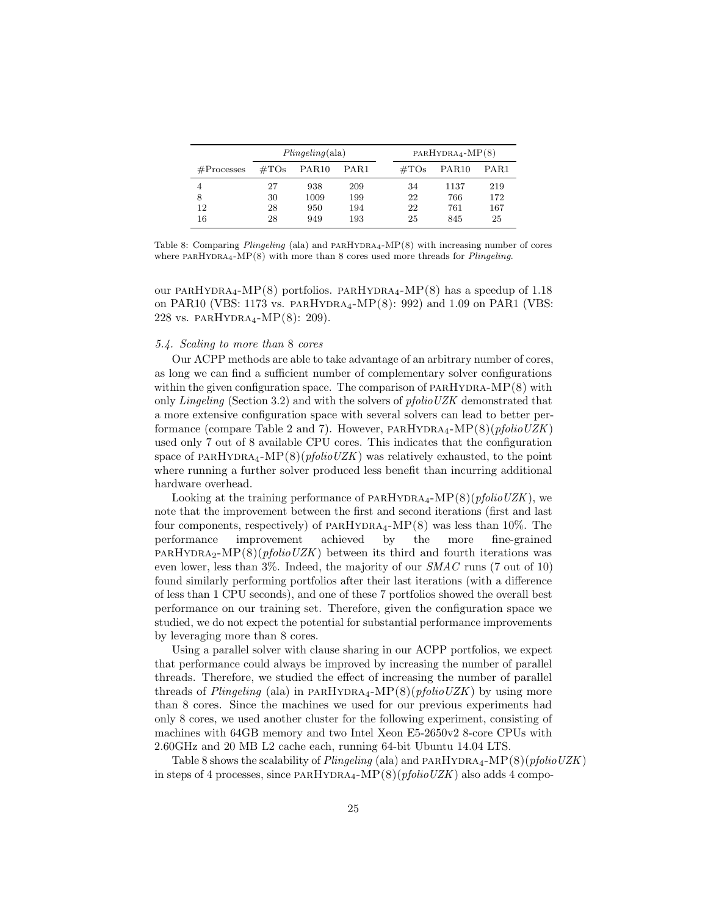|                | Plinqeling(ala) |                   |      |  | $PARHYDRA_4-MP(8)$ |                   |      |  |  |
|----------------|-----------------|-------------------|------|--|--------------------|-------------------|------|--|--|
| #Processes     | $\#\text{TOs}$  | PAR <sub>10</sub> | PAR1 |  | $\#\text{TOs}$     | PAR <sub>10</sub> | PAR1 |  |  |
| $\overline{4}$ | 27              | 938               | 209  |  | 34                 | 1137              | 219  |  |  |
| 8              | 30              | 1009              | 199  |  | 22                 | 766               | 172  |  |  |
| 12             | 28              | 950               | 194  |  | 22                 | 761               | 167  |  |  |
| 16             | 28              | 949               | 193  |  | 25                 | 845               | 25   |  |  |

Table 8: Comparing Plingeling (ala) and  $PARHYDRA_4-MP(8)$  with increasing number of cores where  $PARHYDRA_4-MP(8)$  with more than 8 cores used more threads for *Plingeling*.

our PARHYDRA<sub>4</sub>-MP(8) portfolios. PARHYDRA<sub>4</sub>-MP(8) has a speedup of 1.18 on PAR10 (VBS: 1173 vs. PARHYDRA<sub>4</sub>-MP $(8)$ : 992) and 1.09 on PAR1 (VBS: 228 vs. PARHYDRA<sub>4</sub>-MP $(8)$ : 209).

#### 5.4. Scaling to more than 8 cores

Our ACPP methods are able to take advantage of an arbitrary number of cores, as long we can find a sufficient number of complementary solver configurations within the given configuration space. The comparison of PARHYDRA-MP $(8)$  with only Lingeling (Section 3.2) and with the solvers of  $pfolio UZK$  demonstrated that a more extensive configuration space with several solvers can lead to better performance (compare Table 2 and 7). However,  $PARHYDRA_4-MP(8)(pfolio UZK)$ used only 7 out of 8 available CPU cores. This indicates that the configuration space of PARHYDRA<sub>4</sub>-MP(8)(*pfolioUZK*) was relatively exhausted, to the point where running a further solver produced less benefit than incurring additional hardware overhead.

Looking at the training performance of  $\text{PARHYDRA}_4-\text{MP}(8)(\text{p folioUZK})$ , we note that the improvement between the first and second iterations (first and last four components, respectively) of  $PARHYDRA_4-MP(8)$  was less than 10%. The performance improvement achieved by the more fine-grained  $PARHYDRA_2-MP(8)(pfolio UZK)$  between its third and fourth iterations was even lower, less than 3%. Indeed, the majority of our SMAC runs (7 out of 10) found similarly performing portfolios after their last iterations (with a difference of less than 1 CPU seconds), and one of these 7 portfolios showed the overall best performance on our training set. Therefore, given the configuration space we studied, we do not expect the potential for substantial performance improvements by leveraging more than 8 cores.

Using a parallel solver with clause sharing in our ACPP portfolios, we expect that performance could always be improved by increasing the number of parallel threads. Therefore, we studied the effect of increasing the number of parallel threads of *Plingeling* (ala) in  $PARHYDRA_4-MP(8)(pfolio UZK)$  by using more than 8 cores. Since the machines we used for our previous experiments had only 8 cores, we used another cluster for the following experiment, consisting of machines with 64GB memory and two Intel Xeon E5-2650v2 8-core CPUs with 2.60GHz and 20 MB L2 cache each, running 64-bit Ubuntu 14.04 LTS.

Table 8 shows the scalability of Plingeling (ala) and  $PARHYDRA_4-MP(8)(pfolio UZK)$ in steps of 4 processes, since  $\text{PARHYDRA}_4\text{-MP}(8)(\text{p}foliotZK)$  also adds 4 compo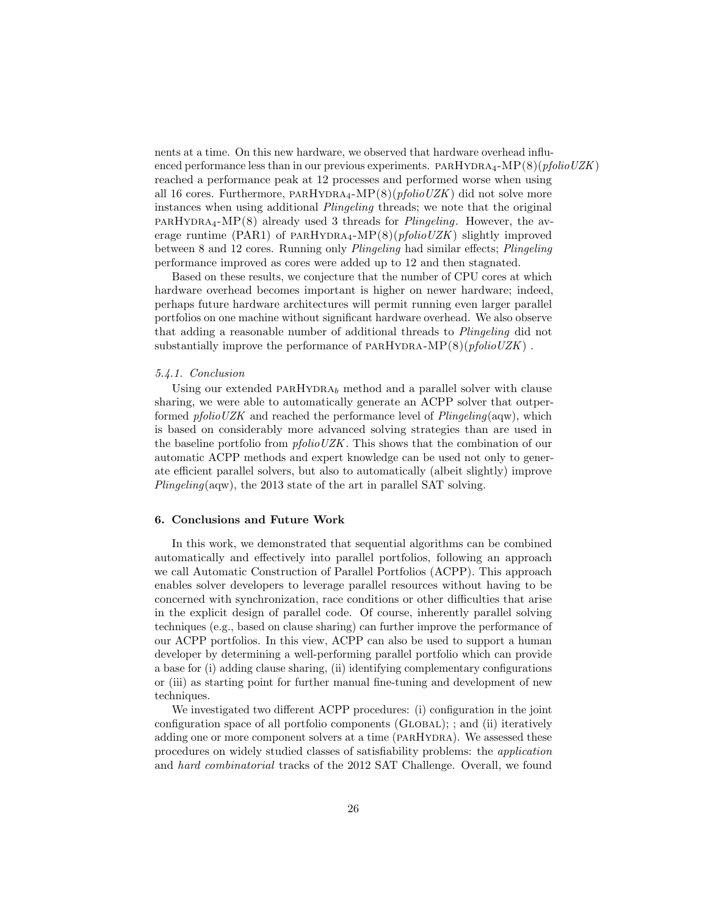nents at a time. On this new hardware, we observed that hardware overhead influenced performance less than in our previous experiments. PARHYDRA<sub>4</sub>-MP(8)(pfolioUZK) reached a performance peak at 12 processes and performed worse when using all 16 cores. Furthermore,  $PARHYDRA_4-MP(8)(pfolio UZK)$  did not solve more instances when using additional Plingeling threads; we note that the original  $PARHYDRA<sub>4</sub>-MP(8)$  already used 3 threads for *Plingeling*. However, the average runtime (PAR1) of  $PARHYDRA_4-MP(8)(pfolio UZK)$  slightly improved between 8 and 12 cores. Running only Plingeling had similar effects; Plingeling performance improved as cores were added up to 12 and then stagnated.

Based on these results, we conjecture that the number of CPU cores at which hardware overhead becomes important is higher on newer hardware; indeed, perhaps future hardware architectures will permit running even larger parallel portfolios on one machine without significant hardware overhead. We also observe that adding a reasonable number of additional threads to Plingeling did not substantially improve the performance of PARHYDRA-MP $(8)(pfolio UZK)$ .

#### 5.4.1. Conclusion

Using our extended  $PARHYDRA_b$  method and a parallel solver with clause sharing, we were able to automatically generate an ACPP solver that outperformed  $pfolio UZK$  and reached the performance level of  $Plingelinq(aqw)$ , which is based on considerably more advanced solving strategies than are used in the baseline portfolio from *pfolioUZK*. This shows that the combination of our automatic ACPP methods and expert knowledge can be used not only to generate efficient parallel solvers, but also to automatically (albeit slightly) improve Plingeling(aqw), the 2013 state of the art in parallel SAT solving.

## 6. Conclusions and Future Work

In this work, we demonstrated that sequential algorithms can be combined automatically and effectively into parallel portfolios, following an approach we call Automatic Construction of Parallel Portfolios (ACPP). This approach enables solver developers to leverage parallel resources without having to be concerned with synchronization, race conditions or other difficulties that arise in the explicit design of parallel code. Of course, inherently parallel solving techniques (e.g., based on clause sharing) can further improve the performance of our ACPP portfolios. In this view, ACPP can also be used to support a human developer by determining a well-performing parallel portfolio which can provide a base for (i) adding clause sharing, (ii) identifying complementary configurations or (iii) as starting point for further manual fine-tuning and development of new techniques.

We investigated two different ACPP procedures: (i) configuration in the joint configuration space of all portfolio components (GLOBAL); ; and (ii) iteratively adding one or more component solvers at a time (PARHYDRA). We assessed these procedures on widely studied classes of satisfiability problems: the application and hard combinatorial tracks of the 2012 SAT Challenge. Overall, we found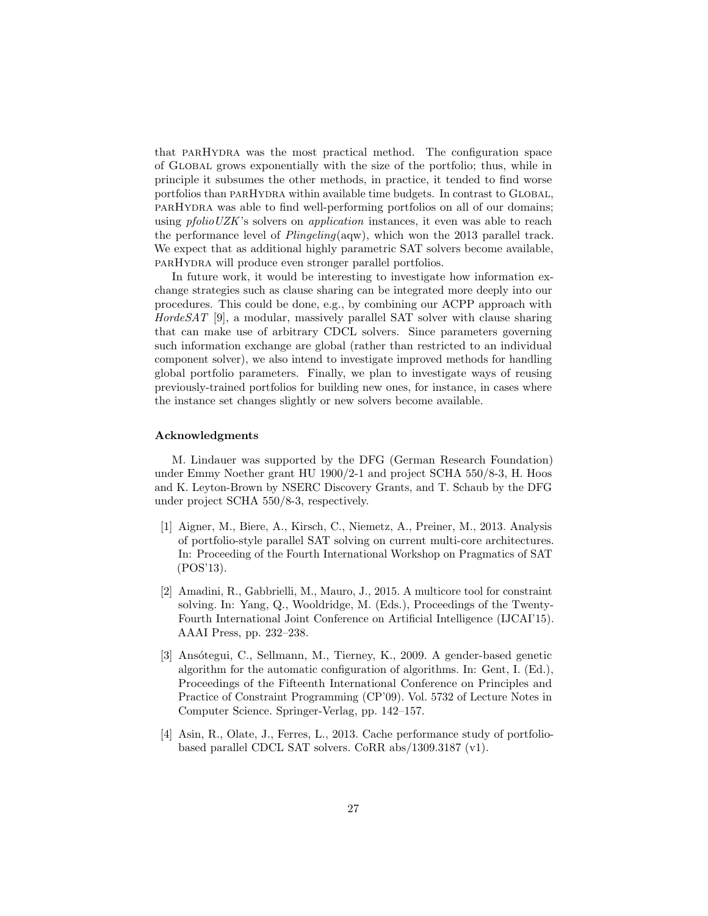that parHydra was the most practical method. The configuration space of Global grows exponentially with the size of the portfolio; thus, while in principle it subsumes the other methods, in practice, it tended to find worse portfolios than parHydra within available time budgets. In contrast to Global, parHydra was able to find well-performing portfolios on all of our domains; using  $pfolio UZK$ 's solvers on *application* instances, it even was able to reach the performance level of Plingeling(aqw), which won the 2013 parallel track. We expect that as additional highly parametric SAT solvers become available, parHydra will produce even stronger parallel portfolios.

In future work, it would be interesting to investigate how information exchange strategies such as clause sharing can be integrated more deeply into our procedures. This could be done, e.g., by combining our ACPP approach with HordeSAT [9], a modular, massively parallel SAT solver with clause sharing that can make use of arbitrary CDCL solvers. Since parameters governing such information exchange are global (rather than restricted to an individual component solver), we also intend to investigate improved methods for handling global portfolio parameters. Finally, we plan to investigate ways of reusing previously-trained portfolios for building new ones, for instance, in cases where the instance set changes slightly or new solvers become available.

#### Acknowledgments

M. Lindauer was supported by the DFG (German Research Foundation) under Emmy Noether grant HU 1900/2-1 and project SCHA 550/8-3, H. Hoos and K. Leyton-Brown by NSERC Discovery Grants, and T. Schaub by the DFG under project SCHA 550/8-3, respectively.

- [1] Aigner, M., Biere, A., Kirsch, C., Niemetz, A., Preiner, M., 2013. Analysis of portfolio-style parallel SAT solving on current multi-core architectures. In: Proceeding of the Fourth International Workshop on Pragmatics of SAT (POS'13).
- [2] Amadini, R., Gabbrielli, M., Mauro, J., 2015. A multicore tool for constraint solving. In: Yang, Q., Wooldridge, M. (Eds.), Proceedings of the Twenty-Fourth International Joint Conference on Artificial Intelligence (IJCAI'15). AAAI Press, pp. 232–238.
- [3] Ansótegui, C., Sellmann, M., Tierney, K., 2009. A gender-based genetic algorithm for the automatic configuration of algorithms. In: Gent, I. (Ed.), Proceedings of the Fifteenth International Conference on Principles and Practice of Constraint Programming (CP'09). Vol. 5732 of Lecture Notes in Computer Science. Springer-Verlag, pp. 142–157.
- [4] Asin, R., Olate, J., Ferres, L., 2013. Cache performance study of portfoliobased parallel CDCL SAT solvers. CoRR abs/1309.3187 (v1).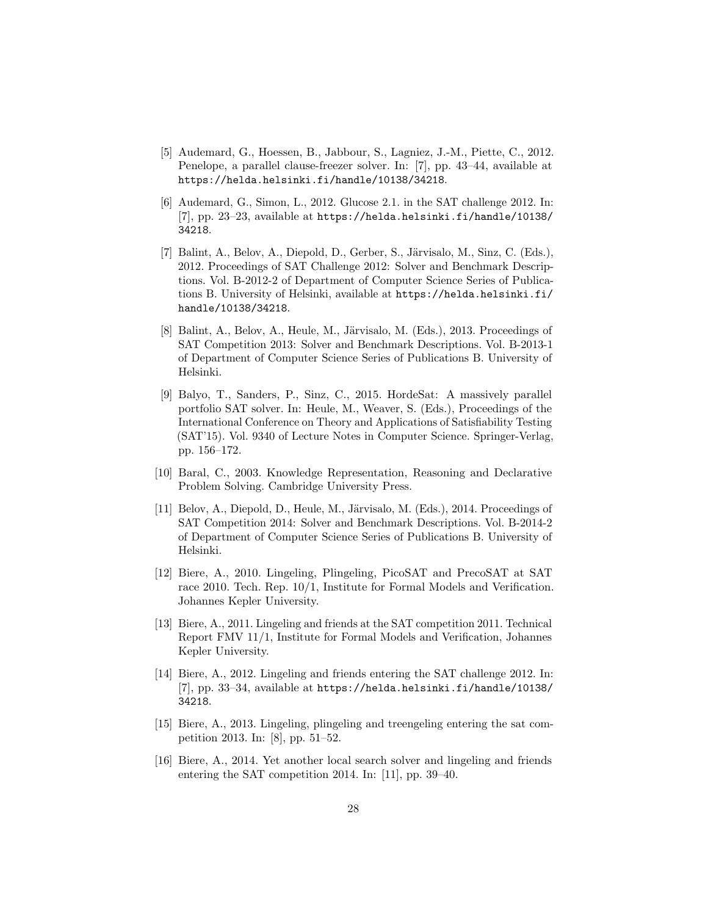- [5] Audemard, G., Hoessen, B., Jabbour, S., Lagniez, J.-M., Piette, C., 2012. Penelope, a parallel clause-freezer solver. In: [7], pp. 43–44, available at https://helda.helsinki.fi/handle/10138/34218.
- [6] Audemard, G., Simon, L., 2012. Glucose 2.1. in the SAT challenge 2012. In: [7], pp. 23–23, available at https://helda.helsinki.fi/handle/10138/ 34218.
- $[7]$  Balint, A., Belov, A., Diepold, D., Gerber, S., Järvisalo, M., Sinz, C. (Eds.), 2012. Proceedings of SAT Challenge 2012: Solver and Benchmark Descriptions. Vol. B-2012-2 of Department of Computer Science Series of Publications B. University of Helsinki, available at https://helda.helsinki.fi/ handle/10138/34218.
- [8] Balint, A., Belov, A., Heule, M., Järvisalo, M. (Eds.), 2013. Proceedings of SAT Competition 2013: Solver and Benchmark Descriptions. Vol. B-2013-1 of Department of Computer Science Series of Publications B. University of Helsinki.
- [9] Balyo, T., Sanders, P., Sinz, C., 2015. HordeSat: A massively parallel portfolio SAT solver. In: Heule, M., Weaver, S. (Eds.), Proceedings of the International Conference on Theory and Applications of Satisfiability Testing (SAT'15). Vol. 9340 of Lecture Notes in Computer Science. Springer-Verlag, pp. 156–172.
- [10] Baral, C., 2003. Knowledge Representation, Reasoning and Declarative Problem Solving. Cambridge University Press.
- [11] Belov, A., Diepold, D., Heule, M., Järvisalo, M. (Eds.), 2014. Proceedings of SAT Competition 2014: Solver and Benchmark Descriptions. Vol. B-2014-2 of Department of Computer Science Series of Publications B. University of Helsinki.
- [12] Biere, A., 2010. Lingeling, Plingeling, PicoSAT and PrecoSAT at SAT race 2010. Tech. Rep. 10/1, Institute for Formal Models and Verification. Johannes Kepler University.
- [13] Biere, A., 2011. Lingeling and friends at the SAT competition 2011. Technical Report FMV 11/1, Institute for Formal Models and Verification, Johannes Kepler University.
- [14] Biere, A., 2012. Lingeling and friends entering the SAT challenge 2012. In: [7], pp. 33–34, available at https://helda.helsinki.fi/handle/10138/ 34218.
- [15] Biere, A., 2013. Lingeling, plingeling and treengeling entering the sat competition 2013. In: [8], pp. 51–52.
- [16] Biere, A., 2014. Yet another local search solver and lingeling and friends entering the SAT competition 2014. In: [11], pp. 39–40.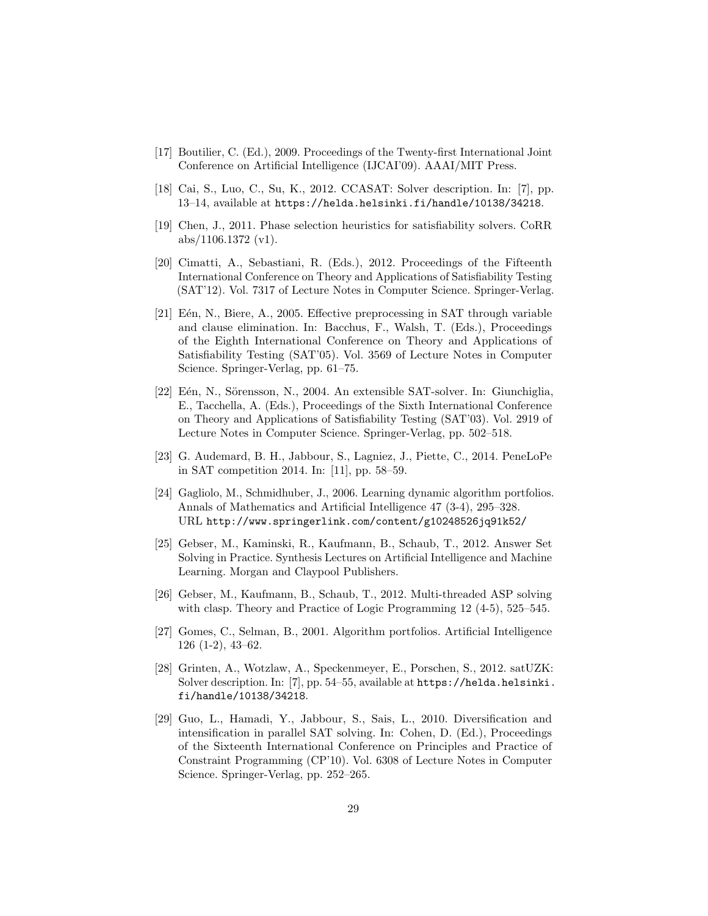- [17] Boutilier, C. (Ed.), 2009. Proceedings of the Twenty-first International Joint Conference on Artificial Intelligence (IJCAI'09). AAAI/MIT Press.
- [18] Cai, S., Luo, C., Su, K., 2012. CCASAT: Solver description. In: [7], pp. 13–14, available at https://helda.helsinki.fi/handle/10138/34218.
- [19] Chen, J., 2011. Phase selection heuristics for satisfiability solvers. CoRR  $abs/1106.1372$  (v1).
- [20] Cimatti, A., Sebastiani, R. (Eds.), 2012. Proceedings of the Fifteenth International Conference on Theory and Applications of Satisfiability Testing (SAT'12). Vol. 7317 of Lecture Notes in Computer Science. Springer-Verlag.
- $[21]$  E<sup>én</sup>, N., Biere, A., 2005. Effective preprocessing in SAT through variable and clause elimination. In: Bacchus, F., Walsh, T. (Eds.), Proceedings of the Eighth International Conference on Theory and Applications of Satisfiability Testing (SAT'05). Vol. 3569 of Lecture Notes in Computer Science. Springer-Verlag, pp. 61–75.
- [22] Eén, N., Sörensson, N., 2004. An extensible SAT-solver. In: Giunchiglia, E., Tacchella, A. (Eds.), Proceedings of the Sixth International Conference on Theory and Applications of Satisfiability Testing (SAT'03). Vol. 2919 of Lecture Notes in Computer Science. Springer-Verlag, pp. 502–518.
- [23] G. Audemard, B. H., Jabbour, S., Lagniez, J., Piette, C., 2014. PeneLoPe in SAT competition 2014. In: [11], pp. 58–59.
- [24] Gagliolo, M., Schmidhuber, J., 2006. Learning dynamic algorithm portfolios. Annals of Mathematics and Artificial Intelligence 47 (3-4), 295–328. URL http://www.springerlink.com/content/g10248526jq91k52/
- [25] Gebser, M., Kaminski, R., Kaufmann, B., Schaub, T., 2012. Answer Set Solving in Practice. Synthesis Lectures on Artificial Intelligence and Machine Learning. Morgan and Claypool Publishers.
- [26] Gebser, M., Kaufmann, B., Schaub, T., 2012. Multi-threaded ASP solving with clasp. Theory and Practice of Logic Programming 12 (4-5), 525–545.
- [27] Gomes, C., Selman, B., 2001. Algorithm portfolios. Artificial Intelligence 126 (1-2), 43–62.
- [28] Grinten, A., Wotzlaw, A., Speckenmeyer, E., Porschen, S., 2012. satUZK: Solver description. In: [7], pp. 54–55, available at https://helda.helsinki. fi/handle/10138/34218.
- [29] Guo, L., Hamadi, Y., Jabbour, S., Sais, L., 2010. Diversification and intensification in parallel SAT solving. In: Cohen, D. (Ed.), Proceedings of the Sixteenth International Conference on Principles and Practice of Constraint Programming (CP'10). Vol. 6308 of Lecture Notes in Computer Science. Springer-Verlag, pp. 252–265.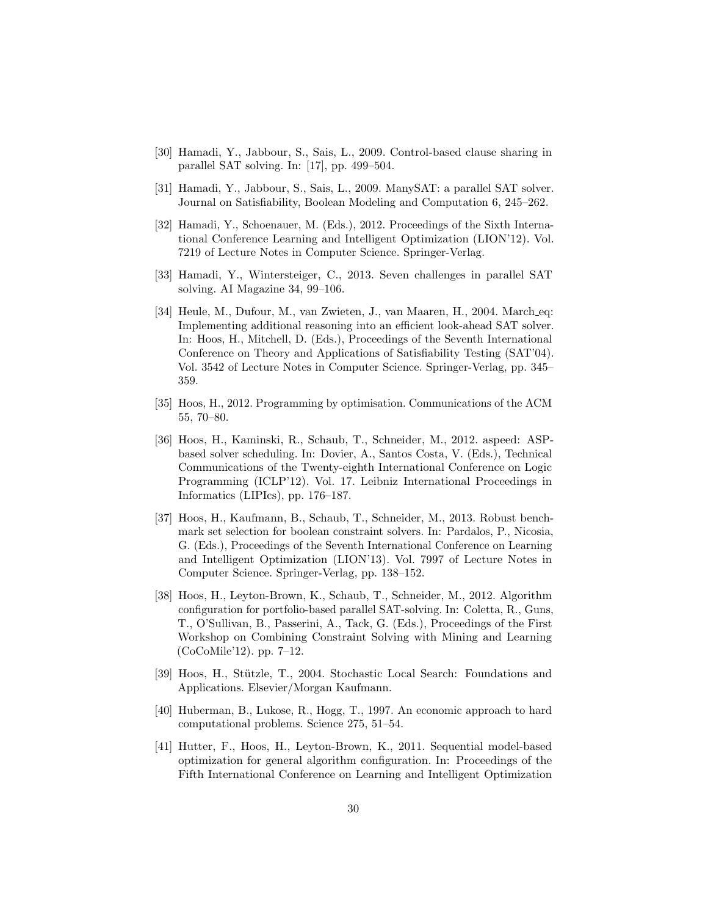- [30] Hamadi, Y., Jabbour, S., Sais, L., 2009. Control-based clause sharing in parallel SAT solving. In: [17], pp. 499–504.
- [31] Hamadi, Y., Jabbour, S., Sais, L., 2009. ManySAT: a parallel SAT solver. Journal on Satisfiability, Boolean Modeling and Computation 6, 245–262.
- [32] Hamadi, Y., Schoenauer, M. (Eds.), 2012. Proceedings of the Sixth International Conference Learning and Intelligent Optimization (LION'12). Vol. 7219 of Lecture Notes in Computer Science. Springer-Verlag.
- [33] Hamadi, Y., Wintersteiger, C., 2013. Seven challenges in parallel SAT solving. AI Magazine 34, 99–106.
- [34] Heule, M., Dufour, M., van Zwieten, J., van Maaren, H., 2004. March eq: Implementing additional reasoning into an efficient look-ahead SAT solver. In: Hoos, H., Mitchell, D. (Eds.), Proceedings of the Seventh International Conference on Theory and Applications of Satisfiability Testing (SAT'04). Vol. 3542 of Lecture Notes in Computer Science. Springer-Verlag, pp. 345– 359.
- [35] Hoos, H., 2012. Programming by optimisation. Communications of the ACM 55, 70–80.
- [36] Hoos, H., Kaminski, R., Schaub, T., Schneider, M., 2012. aspeed: ASPbased solver scheduling. In: Dovier, A., Santos Costa, V. (Eds.), Technical Communications of the Twenty-eighth International Conference on Logic Programming (ICLP'12). Vol. 17. Leibniz International Proceedings in Informatics (LIPIcs), pp. 176–187.
- [37] Hoos, H., Kaufmann, B., Schaub, T., Schneider, M., 2013. Robust benchmark set selection for boolean constraint solvers. In: Pardalos, P., Nicosia, G. (Eds.), Proceedings of the Seventh International Conference on Learning and Intelligent Optimization (LION'13). Vol. 7997 of Lecture Notes in Computer Science. Springer-Verlag, pp. 138–152.
- [38] Hoos, H., Leyton-Brown, K., Schaub, T., Schneider, M., 2012. Algorithm configuration for portfolio-based parallel SAT-solving. In: Coletta, R., Guns, T., O'Sullivan, B., Passerini, A., Tack, G. (Eds.), Proceedings of the First Workshop on Combining Constraint Solving with Mining and Learning (CoCoMile'12). pp. 7–12.
- [39] Hoos, H., Stützle, T., 2004. Stochastic Local Search: Foundations and Applications. Elsevier/Morgan Kaufmann.
- [40] Huberman, B., Lukose, R., Hogg, T., 1997. An economic approach to hard computational problems. Science 275, 51–54.
- [41] Hutter, F., Hoos, H., Leyton-Brown, K., 2011. Sequential model-based optimization for general algorithm configuration. In: Proceedings of the Fifth International Conference on Learning and Intelligent Optimization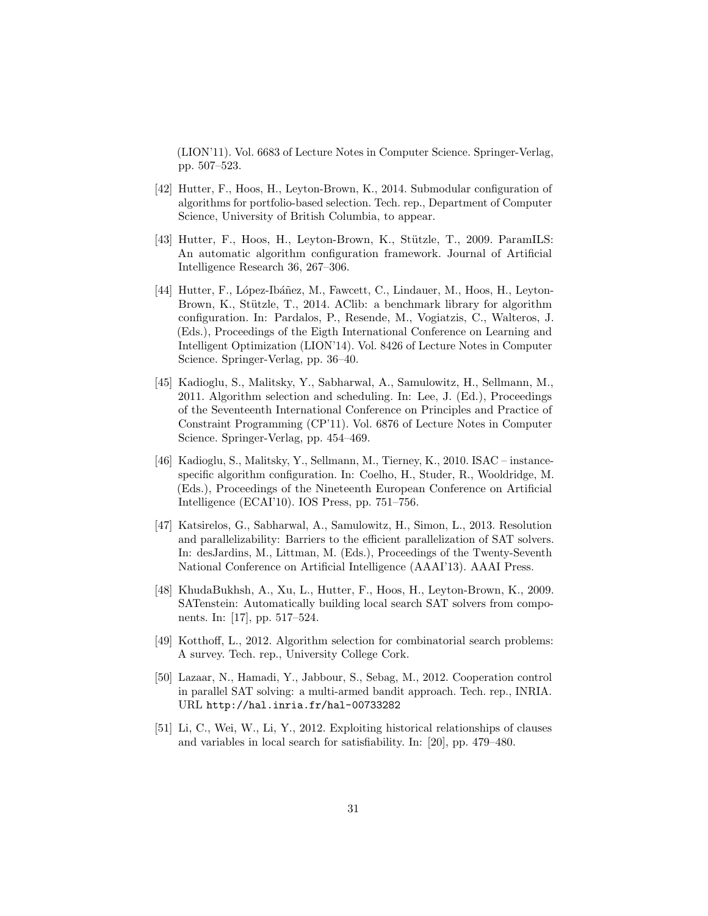(LION'11). Vol. 6683 of Lecture Notes in Computer Science. Springer-Verlag, pp. 507–523.

- [42] Hutter, F., Hoos, H., Leyton-Brown, K., 2014. Submodular configuration of algorithms for portfolio-based selection. Tech. rep., Department of Computer Science, University of British Columbia, to appear.
- [43] Hutter, F., Hoos, H., Leyton-Brown, K., Stützle, T., 2009. ParamILS: An automatic algorithm configuration framework. Journal of Artificial Intelligence Research 36, 267–306.
- [44] Hutter, F., López-Ibáñez, M., Fawcett, C., Lindauer, M., Hoos, H., Leyton-Brown, K., Stützle, T., 2014. AClib: a benchmark library for algorithm configuration. In: Pardalos, P., Resende, M., Vogiatzis, C., Walteros, J. (Eds.), Proceedings of the Eigth International Conference on Learning and Intelligent Optimization (LION'14). Vol. 8426 of Lecture Notes in Computer Science. Springer-Verlag, pp. 36–40.
- [45] Kadioglu, S., Malitsky, Y., Sabharwal, A., Samulowitz, H., Sellmann, M., 2011. Algorithm selection and scheduling. In: Lee, J. (Ed.), Proceedings of the Seventeenth International Conference on Principles and Practice of Constraint Programming (CP'11). Vol. 6876 of Lecture Notes in Computer Science. Springer-Verlag, pp. 454–469.
- [46] Kadioglu, S., Malitsky, Y., Sellmann, M., Tierney, K., 2010. ISAC instancespecific algorithm configuration. In: Coelho, H., Studer, R., Wooldridge, M. (Eds.), Proceedings of the Nineteenth European Conference on Artificial Intelligence (ECAI'10). IOS Press, pp. 751–756.
- [47] Katsirelos, G., Sabharwal, A., Samulowitz, H., Simon, L., 2013. Resolution and parallelizability: Barriers to the efficient parallelization of SAT solvers. In: desJardins, M., Littman, M. (Eds.), Proceedings of the Twenty-Seventh National Conference on Artificial Intelligence (AAAI'13). AAAI Press.
- [48] KhudaBukhsh, A., Xu, L., Hutter, F., Hoos, H., Leyton-Brown, K., 2009. SATenstein: Automatically building local search SAT solvers from components. In: [17], pp. 517–524.
- [49] Kotthoff, L., 2012. Algorithm selection for combinatorial search problems: A survey. Tech. rep., University College Cork.
- [50] Lazaar, N., Hamadi, Y., Jabbour, S., Sebag, M., 2012. Cooperation control in parallel SAT solving: a multi-armed bandit approach. Tech. rep., INRIA. URL http://hal.inria.fr/hal-00733282
- [51] Li, C., Wei, W., Li, Y., 2012. Exploiting historical relationships of clauses and variables in local search for satisfiability. In: [20], pp. 479–480.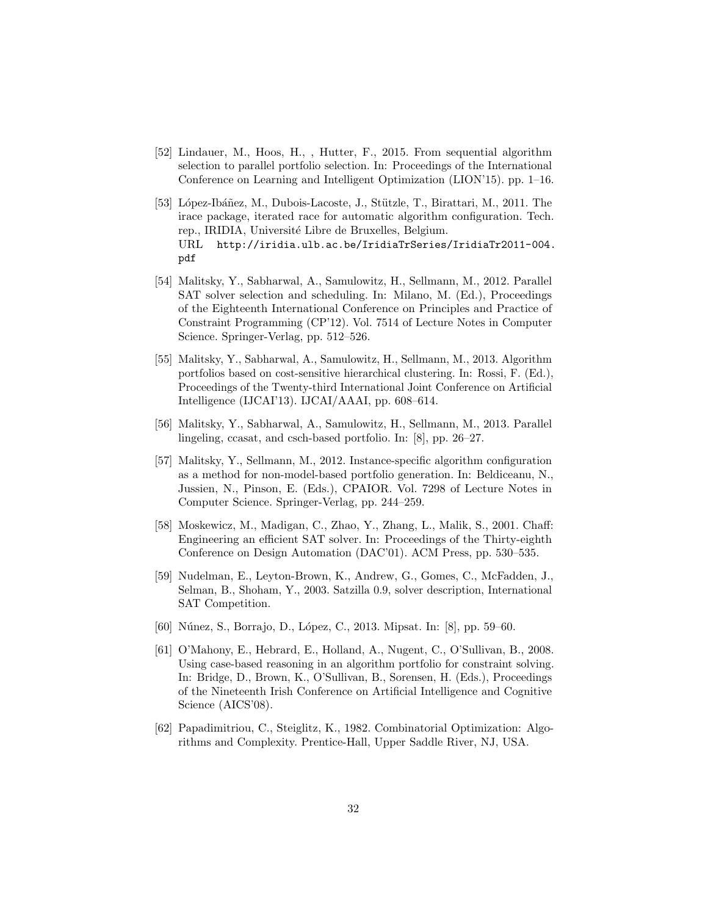- [52] Lindauer, M., Hoos, H., , Hutter, F., 2015. From sequential algorithm selection to parallel portfolio selection. In: Proceedings of the International Conference on Learning and Intelligent Optimization (LION'15). pp. 1–16.
- [53] López-Ibáñez, M., Dubois-Lacoste, J., Stützle, T., Birattari, M., 2011. The irace package, iterated race for automatic algorithm configuration. Tech. rep., IRIDIA, Université Libre de Bruxelles, Belgium. URL http://iridia.ulb.ac.be/IridiaTrSeries/IridiaTr2011-004. pdf
- [54] Malitsky, Y., Sabharwal, A., Samulowitz, H., Sellmann, M., 2012. Parallel SAT solver selection and scheduling. In: Milano, M. (Ed.), Proceedings of the Eighteenth International Conference on Principles and Practice of Constraint Programming (CP'12). Vol. 7514 of Lecture Notes in Computer Science. Springer-Verlag, pp. 512–526.
- [55] Malitsky, Y., Sabharwal, A., Samulowitz, H., Sellmann, M., 2013. Algorithm portfolios based on cost-sensitive hierarchical clustering. In: Rossi, F. (Ed.), Proceedings of the Twenty-third International Joint Conference on Artificial Intelligence (IJCAI'13). IJCAI/AAAI, pp. 608–614.
- [56] Malitsky, Y., Sabharwal, A., Samulowitz, H., Sellmann, M., 2013. Parallel lingeling, ccasat, and csch-based portfolio. In: [8], pp. 26–27.
- [57] Malitsky, Y., Sellmann, M., 2012. Instance-specific algorithm configuration as a method for non-model-based portfolio generation. In: Beldiceanu, N., Jussien, N., Pinson, E. (Eds.), CPAIOR. Vol. 7298 of Lecture Notes in Computer Science. Springer-Verlag, pp. 244–259.
- [58] Moskewicz, M., Madigan, C., Zhao, Y., Zhang, L., Malik, S., 2001. Chaff: Engineering an efficient SAT solver. In: Proceedings of the Thirty-eighth Conference on Design Automation (DAC'01). ACM Press, pp. 530–535.
- [59] Nudelman, E., Leyton-Brown, K., Andrew, G., Gomes, C., McFadden, J., Selman, B., Shoham, Y., 2003. Satzilla 0.9, solver description, International SAT Competition.
- [60] Núnez, S., Borrajo, D., López, C., 2013. Mipsat. In: [8], pp. 59–60.
- [61] O'Mahony, E., Hebrard, E., Holland, A., Nugent, C., O'Sullivan, B., 2008. Using case-based reasoning in an algorithm portfolio for constraint solving. In: Bridge, D., Brown, K., O'Sullivan, B., Sorensen, H. (Eds.), Proceedings of the Nineteenth Irish Conference on Artificial Intelligence and Cognitive Science (AICS'08).
- [62] Papadimitriou, C., Steiglitz, K., 1982. Combinatorial Optimization: Algorithms and Complexity. Prentice-Hall, Upper Saddle River, NJ, USA.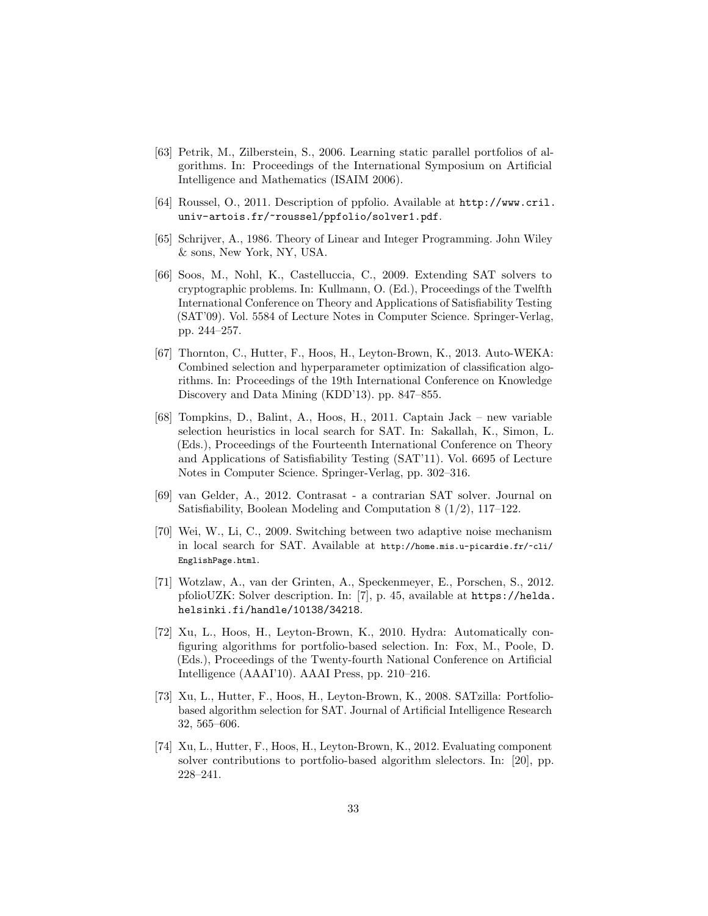- [63] Petrik, M., Zilberstein, S., 2006. Learning static parallel portfolios of algorithms. In: Proceedings of the International Symposium on Artificial Intelligence and Mathematics (ISAIM 2006).
- [64] Roussel, O., 2011. Description of ppfolio. Available at http://www.cril. univ-artois.fr/~roussel/ppfolio/solver1.pdf.
- [65] Schrijver, A., 1986. Theory of Linear and Integer Programming. John Wiley & sons, New York, NY, USA.
- [66] Soos, M., Nohl, K., Castelluccia, C., 2009. Extending SAT solvers to cryptographic problems. In: Kullmann, O. (Ed.), Proceedings of the Twelfth International Conference on Theory and Applications of Satisfiability Testing (SAT'09). Vol. 5584 of Lecture Notes in Computer Science. Springer-Verlag, pp. 244–257.
- [67] Thornton, C., Hutter, F., Hoos, H., Leyton-Brown, K., 2013. Auto-WEKA: Combined selection and hyperparameter optimization of classification algorithms. In: Proceedings of the 19th International Conference on Knowledge Discovery and Data Mining (KDD'13). pp. 847–855.
- [68] Tompkins, D., Balint, A., Hoos, H., 2011. Captain Jack new variable selection heuristics in local search for SAT. In: Sakallah, K., Simon, L. (Eds.), Proceedings of the Fourteenth International Conference on Theory and Applications of Satisfiability Testing (SAT'11). Vol. 6695 of Lecture Notes in Computer Science. Springer-Verlag, pp. 302–316.
- [69] van Gelder, A., 2012. Contrasat a contrarian SAT solver. Journal on Satisfiability, Boolean Modeling and Computation 8 (1/2), 117–122.
- [70] Wei, W., Li, C., 2009. Switching between two adaptive noise mechanism in local search for SAT. Available at http://home.mis.u-picardie.fr/~cli/ EnglishPage.html.
- [71] Wotzlaw, A., van der Grinten, A., Speckenmeyer, E., Porschen, S., 2012. pfolioUZK: Solver description. In: [7], p. 45, available at https://helda. helsinki.fi/handle/10138/34218.
- [72] Xu, L., Hoos, H., Leyton-Brown, K., 2010. Hydra: Automatically configuring algorithms for portfolio-based selection. In: Fox, M., Poole, D. (Eds.), Proceedings of the Twenty-fourth National Conference on Artificial Intelligence (AAAI'10). AAAI Press, pp. 210–216.
- [73] Xu, L., Hutter, F., Hoos, H., Leyton-Brown, K., 2008. SATzilla: Portfoliobased algorithm selection for SAT. Journal of Artificial Intelligence Research 32, 565–606.
- [74] Xu, L., Hutter, F., Hoos, H., Leyton-Brown, K., 2012. Evaluating component solver contributions to portfolio-based algorithm slelectors. In: [20], pp. 228–241.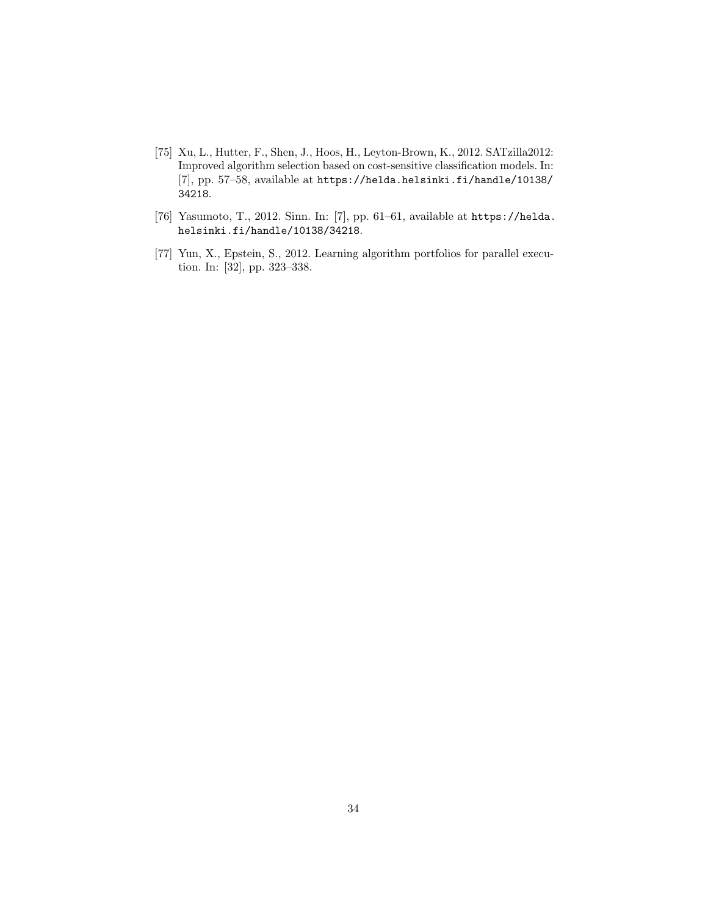- [75] Xu, L., Hutter, F., Shen, J., Hoos, H., Leyton-Brown, K., 2012. SATzilla2012: Improved algorithm selection based on cost-sensitive classification models. In: [7], pp. 57–58, available at https://helda.helsinki.fi/handle/10138/ 34218.
- [76] Yasumoto, T., 2012. Sinn. In: [7], pp. 61–61, available at https://helda. helsinki.fi/handle/10138/34218.
- [77] Yun, X., Epstein, S., 2012. Learning algorithm portfolios for parallel execution. In: [32], pp. 323–338.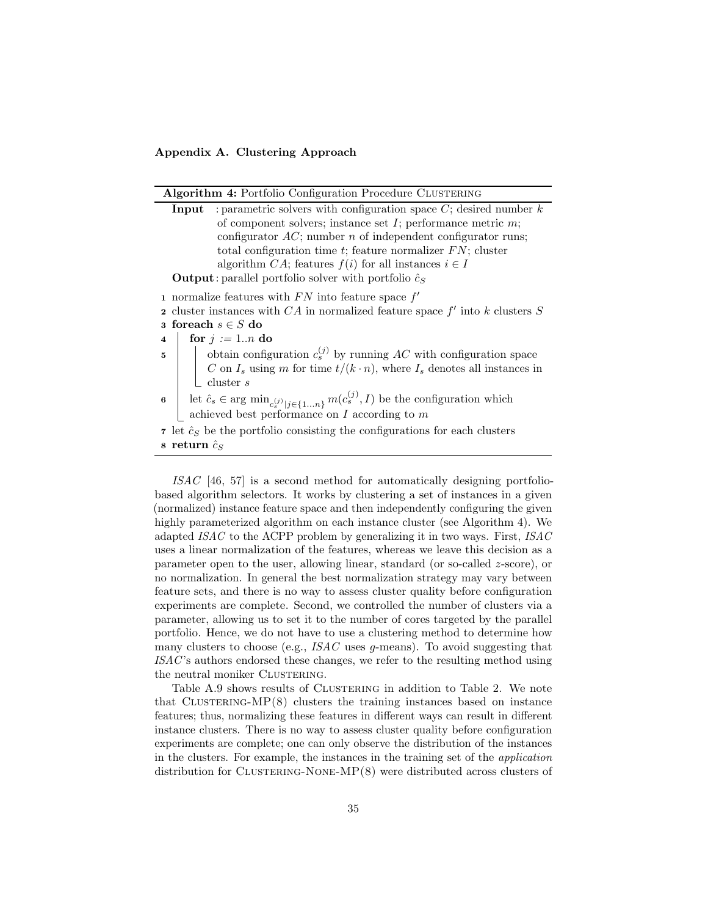# Appendix A. Clustering Approach

| Algorithm 4: Portfolio Configuration Procedure CLUSTERING                                                                                                                                                                                                                                                                                                           |  |  |  |  |  |
|---------------------------------------------------------------------------------------------------------------------------------------------------------------------------------------------------------------------------------------------------------------------------------------------------------------------------------------------------------------------|--|--|--|--|--|
| : parametric solvers with configuration space $C$ ; desired number $k$<br>Input<br>of component solvers; instance set $I$ ; performance metric $m$ ;<br>configurator $AC$ ; number <i>n</i> of independent configurator runs;<br>total configuration time t; feature normalizer $FN$ ; cluster<br>algorithm <i>CA</i> ; features $f(i)$ for all instances $i \in I$ |  |  |  |  |  |
| <b>Output</b> : parallel portfolio solver with portfolio $\hat{c}_S$                                                                                                                                                                                                                                                                                                |  |  |  |  |  |
| 1 normalize features with $FN$ into feature space $f'$<br>cluster instances with $CA$ in normalized feature space $f'$ into k clusters S<br>$\mathbf{2}$<br>foreach $s \in S$ do<br>3                                                                                                                                                                               |  |  |  |  |  |
| for $j := 1n$ do<br>$\overline{\mathbf{4}}$                                                                                                                                                                                                                                                                                                                         |  |  |  |  |  |
| obtain configuration $c_s^{(j)}$ by running AC with configuration space<br>5<br>C on $I_s$ using m for time $t/(k \cdot n)$ , where $I_s$ denotes all instances in<br>cluster s                                                                                                                                                                                     |  |  |  |  |  |
| let $\hat{c}_s \in \arg \min_{c_s^{(j)}   j \in \{1n\}} m(c_s^{(j)}, I)$ be the configuration which<br>6<br>achieved best performance on $I$ according to $m$                                                                                                                                                                                                       |  |  |  |  |  |
| 7 let $\hat{c}_S$ be the portfolio consisting the configurations for each clusters                                                                                                                                                                                                                                                                                  |  |  |  |  |  |
| $\epsilon$ return $\hat{c}_S$                                                                                                                                                                                                                                                                                                                                       |  |  |  |  |  |
|                                                                                                                                                                                                                                                                                                                                                                     |  |  |  |  |  |

ISAC [46, 57] is a second method for automatically designing portfoliobased algorithm selectors. It works by clustering a set of instances in a given (normalized) instance feature space and then independently configuring the given highly parameterized algorithm on each instance cluster (see Algorithm 4). We adapted ISAC to the ACPP problem by generalizing it in two ways. First, ISAC uses a linear normalization of the features, whereas we leave this decision as a parameter open to the user, allowing linear, standard (or so-called z-score), or no normalization. In general the best normalization strategy may vary between feature sets, and there is no way to assess cluster quality before configuration experiments are complete. Second, we controlled the number of clusters via a parameter, allowing us to set it to the number of cores targeted by the parallel portfolio. Hence, we do not have to use a clustering method to determine how many clusters to choose (e.g.,  $ISAC$  uses q-means). To avoid suggesting that ISAC's authors endorsed these changes, we refer to the resulting method using the neutral moniker CLUSTERING.

Table A.9 shows results of CLUSTERING in addition to Table 2. We note that  $CLUSTERING-MP(8)$  clusters the training instances based on instance features; thus, normalizing these features in different ways can result in different instance clusters. There is no way to assess cluster quality before configuration experiments are complete; one can only observe the distribution of the instances in the clusters. For example, the instances in the training set of the application distribution for CLUSTERING-NONE-MP $(8)$  were distributed across clusters of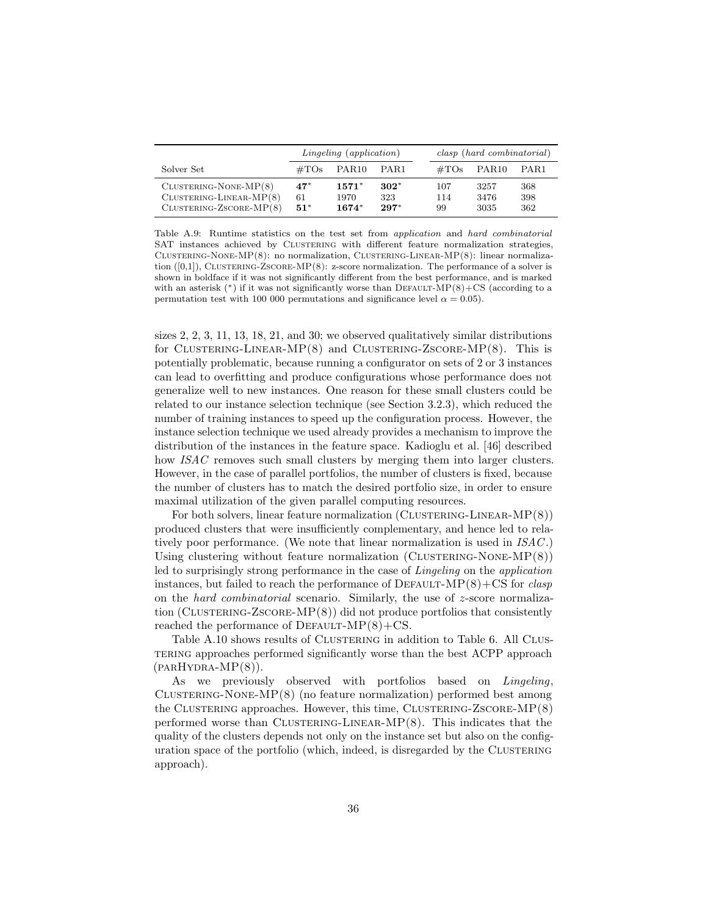|                                                                                   | $Lineeling$ (application) |                            |                         |                  | $clasp$ (hard combinatorial) |                   |
|-----------------------------------------------------------------------------------|---------------------------|----------------------------|-------------------------|------------------|------------------------------|-------------------|
| Solver Set                                                                        | $\#\text{TOs}$            | PAR <sub>10</sub>          | PAR1                    | $\#\text{TOs}$   | PAR <sub>10</sub>            | PAR1              |
| $CLUSTERING-NONE-MP(8)$<br>$CLUSTERING-LINEAR-MP(8)$<br>$CLUSTERING-ZSCORE-MP(8)$ | $47*$<br>61<br>$51*$      | $1571*$<br>1970<br>$1674*$ | $302*$<br>323<br>$297*$ | 107<br>114<br>99 | 3257<br>3476<br>3035         | 368<br>398<br>362 |

Table A.9: Runtime statistics on the test set from application and hard combinatorial SAT instances achieved by CLUSTERING with different feature normalization strategies, Clustering-None-MP(8): no normalization, Clustering-Linear-MP(8): linear normalization  $([0,1])$ , CLUSTERING-ZSCORE-MP $(8)$ : z-score normalization. The performance of a solver is shown in boldface if it was not significantly different from the best performance, and is marked with an asterisk  $(*)$  if it was not significantly worse than DEFAULT-MP(8)+CS (according to a permutation test with 100 000 permutations and significance level  $\alpha = 0.05$ ).

sizes 2, 2, 3, 11, 13, 18, 21, and 30; we observed qualitatively similar distributions for Clustering-Linear-MP(8) and Clustering-Zscore-MP(8). This is potentially problematic, because running a configurator on sets of 2 or 3 instances can lead to overfitting and produce configurations whose performance does not generalize well to new instances. One reason for these small clusters could be related to our instance selection technique (see Section 3.2.3), which reduced the number of training instances to speed up the configuration process. However, the instance selection technique we used already provides a mechanism to improve the distribution of the instances in the feature space. Kadioglu et al. [46] described how ISAC removes such small clusters by merging them into larger clusters. However, in the case of parallel portfolios, the number of clusters is fixed, because the number of clusters has to match the desired portfolio size, in order to ensure maximal utilization of the given parallel computing resources.

For both solvers, linear feature normalization  $(CLUSTERING-LINEAR-MP(8))$ produced clusters that were insufficiently complementary, and hence led to relatively poor performance. (We note that linear normalization is used in  $ISAC$ .) Using clustering without feature normalization  $(CLUSTERING-NONE-MP(8))$ led to surprisingly strong performance in the case of Lingeling on the application instances, but failed to reach the performance of  $DEFAULT-MP(8)+CS$  for  $clasp$ on the *hard combinatorial* scenario. Similarly, the use of  $z$ -score normalization (CLUSTERING-ZSCORE-MP $(8)$ ) did not produce portfolios that consistently reached the performance of DEFAULT-MP $(8)$ +CS.

Table A.10 shows results of CLUSTERING in addition to Table 6. All CLUStering approaches performed significantly worse than the best ACPP approach  $(PARHYDRA-MP(8)).$ 

As we previously observed with portfolios based on Lingeling, CLUSTERING-NONE-MP $(8)$  (no feature normalization) performed best among the CLUSTERING approaches. However, this time, CLUSTERING-ZSCORE-MP $(8)$ performed worse than CLUSTERING-LINEAR-MP $(8)$ . This indicates that the quality of the clusters depends not only on the instance set but also on the configuration space of the portfolio (which, indeed, is disregarded by the CLUSTERING approach).